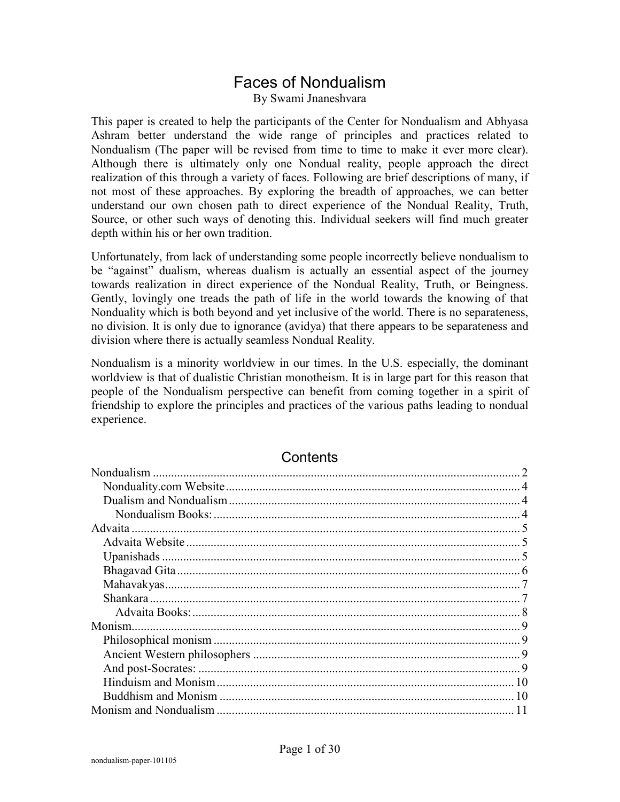### Faces of Nondualism

By Swami Jnaneshvara

This paper is created to help the participants of the Center for Nondualism and Abhyasa Ashram better understand the wide range of principles and practices related to Nondualism (The paper will be revised from time to time to make it ever more clear). Although there is ultimately only one Nondual reality, people approach the direct realization of this through a variety of faces. Following are brief descriptions of many, if not most of these approaches. By exploring the breadth of approaches, we can better understand our own chosen path to direct experience of the Nondual Reality, Truth, Source, or other such ways of denoting this. Individual seekers will find much greater depth within his or her own tradition.

Unfortunately, from lack of understanding some people incorrectly believe nondualism to be "against" dualism, whereas dualism is actually an essential aspect of the journey towards realization in direct experience of the Nondual Reality, Truth, or Beingness. Gently, lovingly one treads the path of life in the world towards the knowing of that Nonduality which is both beyond and yet inclusive of the world. There is no separateness, no division. It is only due to ignorance (avidya) that there appears to be separateness and division where there is actually seamless Nondual Reality.

Nondualism is a minority worldview in our times. In the U.S. especially, the dominant worldview is that of dualistic Christian monotheism. It is in large part for this reason that people of the Nondualism perspective can benefit from coming together in a spirit of friendship to explore the principles and practices of the various paths leading to nondual experience.

| Nondualism |    |
|------------|----|
|            |    |
|            |    |
|            |    |
|            |    |
|            |    |
|            |    |
|            |    |
|            |    |
|            |    |
|            |    |
|            |    |
|            |    |
|            |    |
|            |    |
|            | 10 |
|            | 10 |
|            |    |

#### Contents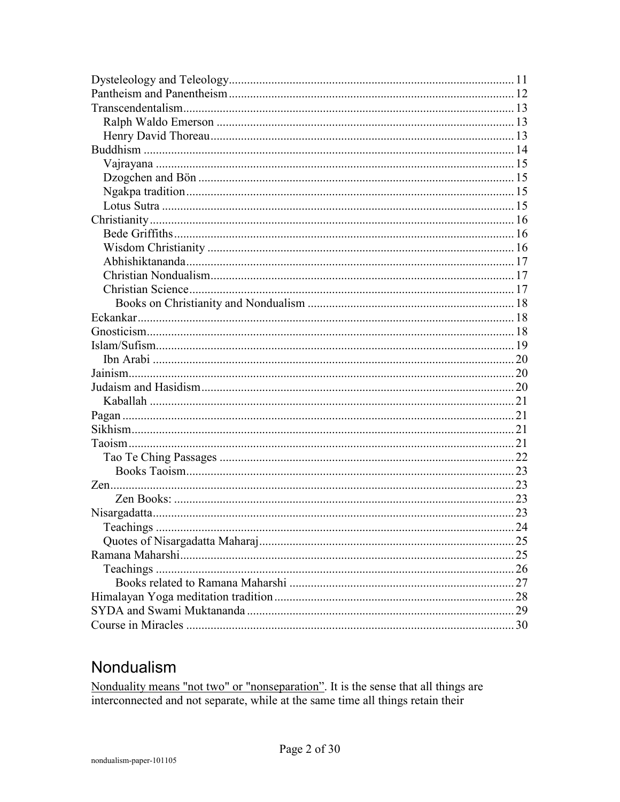# Nondualism

Nonduality means "not two" or "nonseparation". It is the sense that all things are interconnected and not separate, while at the same time all things retain their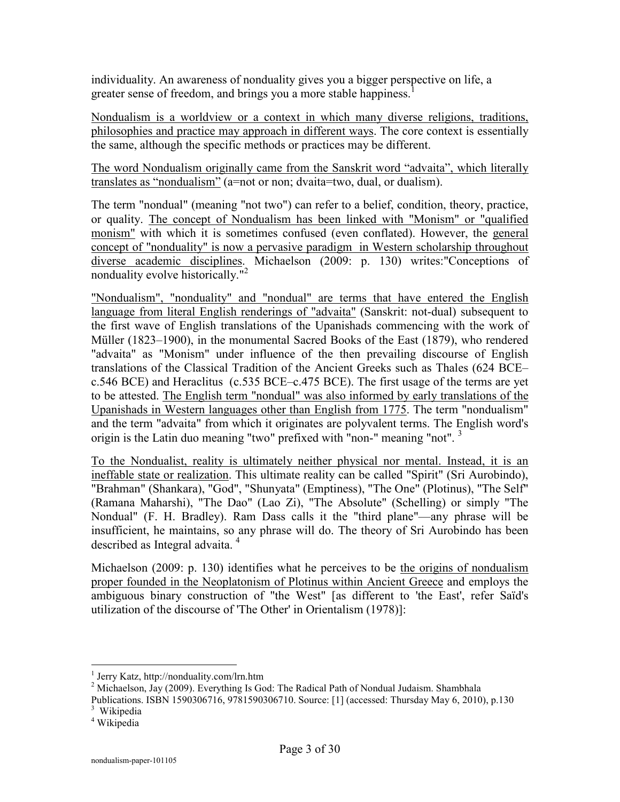individuality. An awareness of nonduality gives you a bigger perspective on life, a greater sense of freedom, and brings you a more stable happiness.<sup>1</sup>

Nondualism is a worldview or a context in which many diverse religions, traditions, philosophies and practice may approach in different ways. The core context is essentially the same, although the specific methods or practices may be different.

The word Nondualism originally came from the Sanskrit word "advaita", which literally translates as "nondualism" (a=not or non; dvaita=two, dual, or dualism).

The term "nondual" (meaning "not two") can refer to a belief, condition, theory, practice, or quality. The concept of Nondualism has been linked with "Monism" or "qualified monism" with which it is sometimes confused (even conflated). However, the general concept of "nonduality" is now a pervasive paradigm in Western scholarship throughout diverse academic disciplines. Michaelson (2009: p. 130) writes:"Conceptions of nonduality evolve historically."<sup>2</sup>

"Nondualism", "nonduality" and "nondual" are terms that have entered the English language from literal English renderings of "advaita" (Sanskrit: not-dual) subsequent to the first wave of English translations of the Upanishads commencing with the work of Müller (1823–1900), in the monumental Sacred Books of the East (1879), who rendered "advaita" as "Monism" under influence of the then prevailing discourse of English translations of the Classical Tradition of the Ancient Greeks such as Thales (624 BCE– c.546 BCE) and Heraclitus (c.535 BCE–c.475 BCE). The first usage of the terms are yet to be attested. The English term "nondual" was also informed by early translations of the Upanishads in Western languages other than English from 1775. The term "nondualism" and the term "advaita" from which it originates are polyvalent terms. The English word's origin is the Latin duo meaning "two" prefixed with "non-" meaning "not". <sup>3</sup>

To the Nondualist, reality is ultimately neither physical nor mental. Instead, it is an ineffable state or realization. This ultimate reality can be called "Spirit" (Sri Aurobindo), "Brahman" (Shankara), "God", "Shunyata" (Emptiness), "The One" (Plotinus), "The Self" (Ramana Maharshi), "The Dao" (Lao Zi), "The Absolute" (Schelling) or simply "The Nondual" (F. H. Bradley). Ram Dass calls it the "third plane"—any phrase will be insufficient, he maintains, so any phrase will do. The theory of Sri Aurobindo has been described as Integral advaita.<sup>4</sup>

Michaelson (2009: p. 130) identifies what he perceives to be the origins of nondualism proper founded in the Neoplatonism of Plotinus within Ancient Greece and employs the ambiguous binary construction of "the West" [as different to 'the East', refer Saïd's utilization of the discourse of 'The Other' in Orientalism (1978)]:

<sup>1</sup> Jerry Katz, http://nonduality.com/lrn.htm

 $2^2$  Michaelson, Jay (2009). Everything Is God: The Radical Path of Nondual Judaism. Shambhala

Publications. ISBN 1590306716, 9781590306710. Source: [1] (accessed: Thursday May 6, 2010), p.130

<sup>&</sup>lt;sup>3</sup> Wikipedia

<sup>4</sup> Wikipedia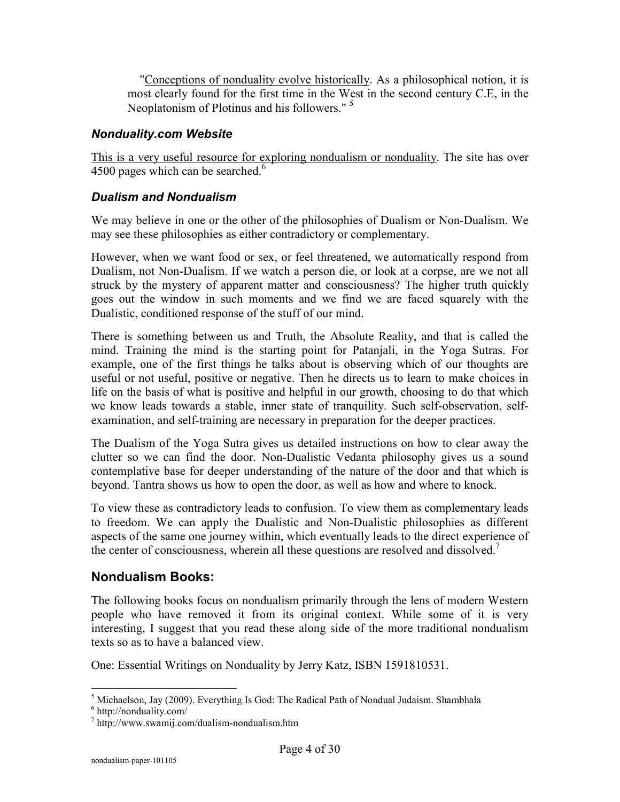"Conceptions of nonduality evolve historically. As a philosophical notion, it is most clearly found for the first time in the West in the second century C.E, in the Neoplatonism of Plotinus and his followers."<sup>5</sup>

#### *Nonduality.com Website*

This is a very useful resource for exploring nondualism or nonduality. The site has over 4500 pages which can be searched. $6$ 

#### *Dualism and Nondualism*

We may believe in one or the other of the philosophies of Dualism or Non-Dualism. We may see these philosophies as either contradictory or complementary.

However, when we want food or sex, or feel threatened, we automatically respond from Dualism, not Non-Dualism. If we watch a person die, or look at a corpse, are we not all struck by the mystery of apparent matter and consciousness? The higher truth quickly goes out the window in such moments and we find we are faced squarely with the Dualistic, conditioned response of the stuff of our mind.

There is something between us and Truth, the Absolute Reality, and that is called the mind. Training the mind is the starting point for Patanjali, in the Yoga Sutras. For example, one of the first things he talks about is observing which of our thoughts are useful or not useful, positive or negative. Then he directs us to learn to make choices in life on the basis of what is positive and helpful in our growth, choosing to do that which we know leads towards a stable, inner state of tranquility. Such self-observation, selfexamination, and self-training are necessary in preparation for the deeper practices.

The Dualism of the Yoga Sutra gives us detailed instructions on how to clear away the clutter so we can find the door. Non-Dualistic Vedanta philosophy gives us a sound contemplative base for deeper understanding of the nature of the door and that which is beyond. Tantra shows us how to open the door, as well as how and where to knock.

To view these as contradictory leads to confusion. To view them as complementary leads to freedom. We can apply the Dualistic and Non-Dualistic philosophies as different aspects of the same one journey within, which eventually leads to the direct experience of the center of consciousness, wherein all these questions are resolved and dissolved.<sup> $7$ </sup>

#### **Nondualism Books:**

The following books focus on nondualism primarily through the lens of modern Western people who have removed it from its original context. While some of it is very interesting, I suggest that you read these along side of the more traditional nondualism texts so as to have a balanced view.

One: Essential Writings on Nonduality by Jerry Katz, ISBN 1591810531.

 $\overline{a}$ <sup>5</sup> Michaelson, Jay (2009). Everything Is God: The Radical Path of Nondual Judaism. Shambhala

<sup>6</sup> http://nonduality.com/

<sup>7</sup> http://www.swamij.com/dualism-nondualism.htm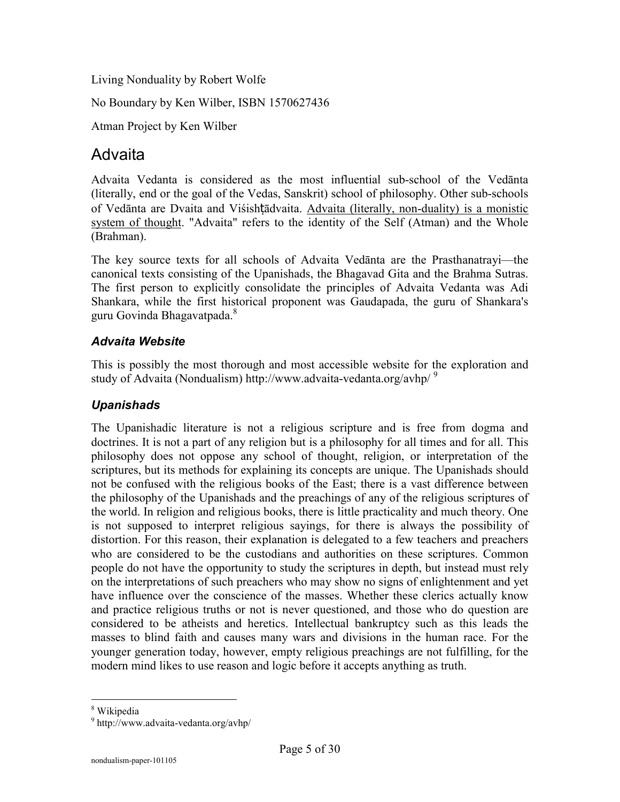Living Nonduality by Robert Wolfe

No Boundary by Ken Wilber, ISBN 1570627436

Atman Project by Ken Wilber

## Advaita

Advaita Vedanta is considered as the most influential sub-school of the Vedānta (literally, end or the goal of the Vedas, Sanskrit) school of philosophy. Other sub-schools of Vedānta are Dvaita and Viśishṭādvaita. Advaita (literally, non-duality) is a monistic system of thought. "Advaita" refers to the identity of the Self (Atman) and the Whole (Brahman).

The key source texts for all schools of Advaita Vedānta are the Prasthanatrayi—the canonical texts consisting of the Upanishads, the Bhagavad Gita and the Brahma Sutras. The first person to explicitly consolidate the principles of Advaita Vedanta was Adi Shankara, while the first historical proponent was Gaudapada, the guru of Shankara's guru Govinda Bhagavatpada.<sup>8</sup>

#### *Advaita Website*

This is possibly the most thorough and most accessible website for the exploration and study of Advaita (Nondualism) http://www.advaita-vedanta.org/avhp/<sup>9</sup>

#### *Upanishads*

The Upanishadic literature is not a religious scripture and is free from dogma and doctrines. It is not a part of any religion but is a philosophy for all times and for all. This philosophy does not oppose any school of thought, religion, or interpretation of the scriptures, but its methods for explaining its concepts are unique. The Upanishads should not be confused with the religious books of the East; there is a vast difference between the philosophy of the Upanishads and the preachings of any of the religious scriptures of the world. In religion and religious books, there is little practicality and much theory. One is not supposed to interpret religious sayings, for there is always the possibility of distortion. For this reason, their explanation is delegated to a few teachers and preachers who are considered to be the custodians and authorities on these scriptures. Common people do not have the opportunity to study the scriptures in depth, but instead must rely on the interpretations of such preachers who may show no signs of enlightenment and yet have influence over the conscience of the masses. Whether these clerics actually know and practice religious truths or not is never questioned, and those who do question are considered to be atheists and heretics. Intellectual bankruptcy such as this leads the masses to blind faith and causes many wars and divisions in the human race. For the younger generation today, however, empty religious preachings are not fulfilling, for the modern mind likes to use reason and logic before it accepts anything as truth.

 8 Wikipedia

<sup>9</sup> http://www.advaita-vedanta.org/avhp/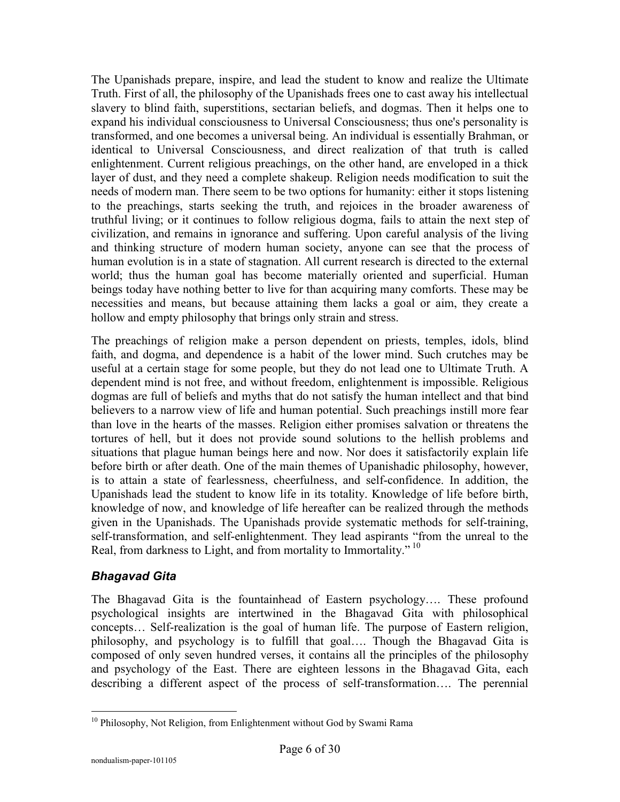The Upanishads prepare, inspire, and lead the student to know and realize the Ultimate Truth. First of all, the philosophy of the Upanishads frees one to cast away his intellectual slavery to blind faith, superstitions, sectarian beliefs, and dogmas. Then it helps one to expand his individual consciousness to Universal Consciousness; thus one's personality is transformed, and one becomes a universal being. An individual is essentially Brahman, or identical to Universal Consciousness, and direct realization of that truth is called enlightenment. Current religious preachings, on the other hand, are enveloped in a thick layer of dust, and they need a complete shakeup. Religion needs modification to suit the needs of modern man. There seem to be two options for humanity: either it stops listening to the preachings, starts seeking the truth, and rejoices in the broader awareness of truthful living; or it continues to follow religious dogma, fails to attain the next step of civilization, and remains in ignorance and suffering. Upon careful analysis of the living and thinking structure of modern human society, anyone can see that the process of human evolution is in a state of stagnation. All current research is directed to the external world; thus the human goal has become materially oriented and superficial. Human beings today have nothing better to live for than acquiring many comforts. These may be necessities and means, but because attaining them lacks a goal or aim, they create a hollow and empty philosophy that brings only strain and stress.

The preachings of religion make a person dependent on priests, temples, idols, blind faith, and dogma, and dependence is a habit of the lower mind. Such crutches may be useful at a certain stage for some people, but they do not lead one to Ultimate Truth. A dependent mind is not free, and without freedom, enlightenment is impossible. Religious dogmas are full of beliefs and myths that do not satisfy the human intellect and that bind believers to a narrow view of life and human potential. Such preachings instill more fear than love in the hearts of the masses. Religion either promises salvation or threatens the tortures of hell, but it does not provide sound solutions to the hellish problems and situations that plague human beings here and now. Nor does it satisfactorily explain life before birth or after death. One of the main themes of Upanishadic philosophy, however, is to attain a state of fearlessness, cheerfulness, and self-confidence. In addition, the Upanishads lead the student to know life in its totality. Knowledge of life before birth, knowledge of now, and knowledge of life hereafter can be realized through the methods given in the Upanishads. The Upanishads provide systematic methods for self-training, self-transformation, and self-enlightenment. They lead aspirants "from the unreal to the Real, from darkness to Light, and from mortality to Immortality."<sup>10</sup>

#### *Bhagavad Gita*

The Bhagavad Gita is the fountainhead of Eastern psychology…. These profound psychological insights are intertwined in the Bhagavad Gita with philosophical concepts… Self-realization is the goal of human life. The purpose of Eastern religion, philosophy, and psychology is to fulfill that goal…. Though the Bhagavad Gita is composed of only seven hundred verses, it contains all the principles of the philosophy and psychology of the East. There are eighteen lessons in the Bhagavad Gita, each describing a different aspect of the process of self-transformation…. The perennial

 $\overline{a}$ <sup>10</sup> Philosophy, Not Religion, from Enlightenment without God by Swami Rama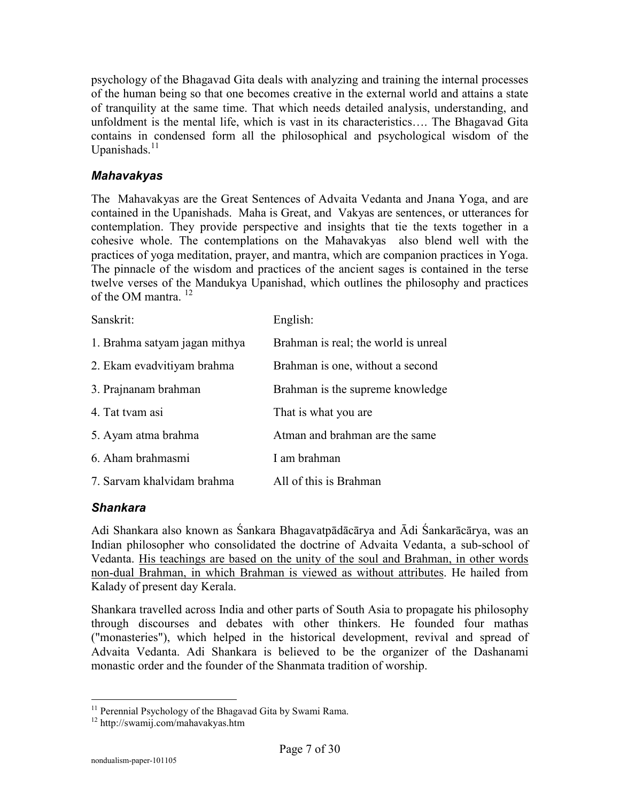psychology of the Bhagavad Gita deals with analyzing and training the internal processes of the human being so that one becomes creative in the external world and attains a state of tranquility at the same time. That which needs detailed analysis, understanding, and unfoldment is the mental life, which is vast in its characteristics…. The Bhagavad Gita contains in condensed form all the philosophical and psychological wisdom of the Upanishads.<sup>11</sup>

#### *Mahavakyas*

The Mahavakyas are the Great Sentences of Advaita Vedanta and Jnana Yoga, and are contained in the Upanishads. Maha is Great, and Vakyas are sentences, or utterances for contemplation. They provide perspective and insights that tie the texts together in a cohesive whole. The contemplations on the Mahavakyas also blend well with the practices of yoga meditation, prayer, and mantra, which are companion practices in Yoga. The pinnacle of the wisdom and practices of the ancient sages is contained in the terse twelve verses of the Mandukya Upanishad, which outlines the philosophy and practices of the OM mantra. <sup>12</sup>

| Sanskrit:                     | English:                             |
|-------------------------------|--------------------------------------|
| 1. Brahma satyam jagan mithya | Brahman is real; the world is unreal |
| 2. Ekam evadvitiyam brahma    | Brahman is one, without a second     |
| 3. Prajnanam brahman          | Brahman is the supreme knowledge     |
| 4. Tat tvam asi               | That is what you are                 |
| 5. Ayam atma brahma           | Atman and brahman are the same       |
| 6. Aham brahmasmi             | I am brahman                         |
| 7. Sarvam khalvidam brahma    | All of this is Brahman               |

#### *Shankara*

Adi Shankara also known as Śankara Bhagavatpādācārya and Ādi Śankarācārya, was an Indian philosopher who consolidated the doctrine of Advaita Vedanta, a sub-school of Vedanta. His teachings are based on the unity of the soul and Brahman, in other words non-dual Brahman, in which Brahman is viewed as without attributes. He hailed from Kalady of present day Kerala.

Shankara travelled across India and other parts of South Asia to propagate his philosophy through discourses and debates with other thinkers. He founded four mathas ("monasteries"), which helped in the historical development, revival and spread of Advaita Vedanta. Adi Shankara is believed to be the organizer of the Dashanami monastic order and the founder of the Shanmata tradition of worship.

 $\overline{a}$ <sup>11</sup> Perennial Psychology of the Bhagavad Gita by Swami Rama.

<sup>12</sup> http://swamij.com/mahavakyas.htm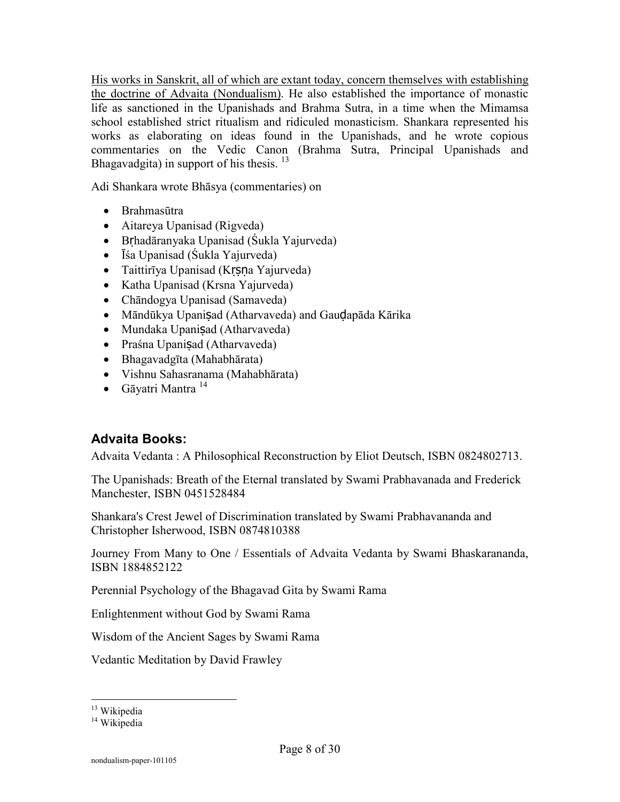His works in Sanskrit, all of which are extant today, concern themselves with establishing the doctrine of Advaita (Nondualism). He also established the importance of monastic life as sanctioned in the Upanishads and Brahma Sutra, in a time when the Mimamsa school established strict ritualism and ridiculed monasticism. Shankara represented his works as elaborating on ideas found in the Upanishads, and he wrote copious commentaries on the Vedic Canon (Brahma Sutra, Principal Upanishads and Bhagavadgita) in support of his thesis.<sup>13</sup>

Adi Shankara wrote Bhāsya (commentaries) on

- Brahmasūtra
- Aitareya Upanisad (Rigveda)
- Bṛhadāranyaka Upanisad (Śukla Yajurveda)
- Īśa Upanisad (Śukla Yajurveda)
- Taittirīya Upanisad (Krsna Yajurveda)
- Katha Upanisad (Krsna Yajurveda)
- Chāndogya Upanisad (Samaveda)
- Māndūkya Upanisad (Atharvaveda) and Gaudapāda Kārika
- Mundaka Upanisad (Atharvaveda)
- Praśna Upanisad (Atharvaveda)
- Bhagavadgīta (Mahabhārata)
- Vishnu Sahasranama (Mahabhārata)
- $\bullet$  Gāyatri Mantra<sup>14</sup>

### **Advaita Books:**

Advaita Vedanta : A Philosophical Reconstruction by Eliot Deutsch, ISBN 0824802713.

The Upanishads: Breath of the Eternal translated by Swami Prabhavanada and Frederick Manchester, ISBN 0451528484

Shankara's Crest Jewel of Discrimination translated by Swami Prabhavananda and Christopher Isherwood, ISBN 0874810388

Journey From Many to One / Essentials of Advaita Vedanta by Swami Bhaskarananda, ISBN 1884852122

Perennial Psychology of the Bhagavad Gita by Swami Rama

Enlightenment without God by Swami Rama

Wisdom of the Ancient Sages by Swami Rama

Vedantic Meditation by David Frawley

<sup>&</sup>lt;sup>13</sup> Wikipedia

<sup>&</sup>lt;sup>14</sup> Wikipedia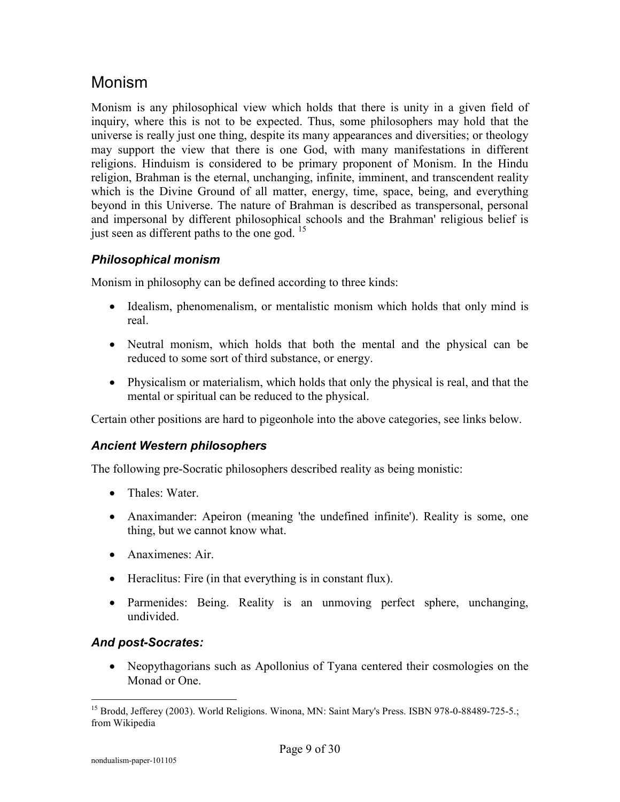## Monism

Monism is any philosophical view which holds that there is unity in a given field of inquiry, where this is not to be expected. Thus, some philosophers may hold that the universe is really just one thing, despite its many appearances and diversities; or theology may support the view that there is one God, with many manifestations in different religions. Hinduism is considered to be primary proponent of Monism. In the Hindu religion, Brahman is the eternal, unchanging, infinite, imminent, and transcendent reality which is the Divine Ground of all matter, energy, time, space, being, and everything beyond in this Universe. The nature of Brahman is described as transpersonal, personal and impersonal by different philosophical schools and the Brahman' religious belief is just seen as different paths to the one god.  $15$ 

#### *Philosophical monism*

Monism in philosophy can be defined according to three kinds:

- Idealism, phenomenalism, or mentalistic monism which holds that only mind is real.
- Neutral monism, which holds that both the mental and the physical can be reduced to some sort of third substance, or energy.
- Physicalism or materialism, which holds that only the physical is real, and that the mental or spiritual can be reduced to the physical.

Certain other positions are hard to pigeonhole into the above categories, see links below.

#### *Ancient Western philosophers*

The following pre-Socratic philosophers described reality as being monistic:

- Thales: Water
- Anaximander: Apeiron (meaning 'the undefined infinite'). Reality is some, one thing, but we cannot know what.
- Anaximenes: Air.
- Heraclitus: Fire (in that everything is in constant flux).
- Parmenides: Being. Reality is an unmoving perfect sphere, unchanging, undivided.

#### *And post-Socrates:*

• Neopythagorians such as Apollonius of Tyana centered their cosmologies on the Monad or One.

 $\overline{a}$ <sup>15</sup> Brodd, Jefferey (2003). World Religions. Winona, MN: Saint Mary's Press. ISBN 978-0-88489-725-5.; from Wikipedia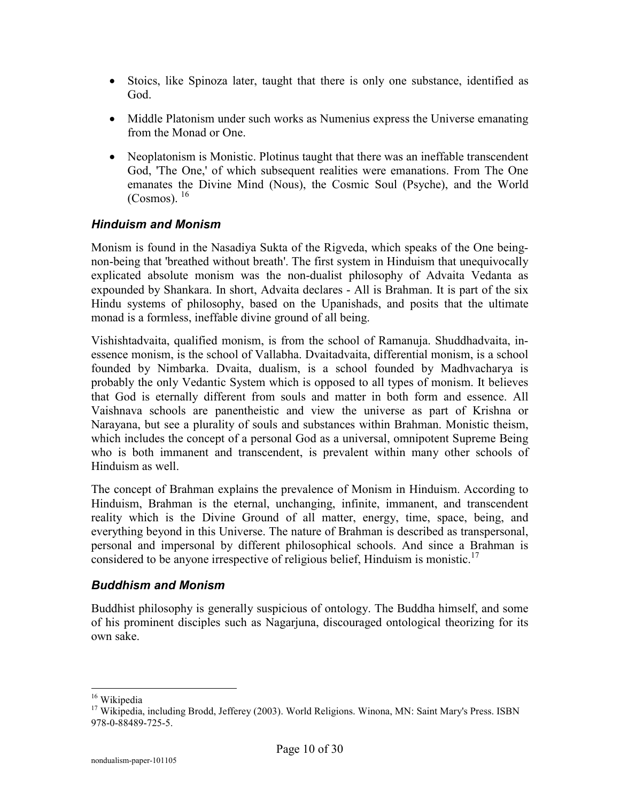- Stoics, like Spinoza later, taught that there is only one substance, identified as God.
- Middle Platonism under such works as Numenius express the Universe emanating from the Monad or One.
- Neoplatonism is Monistic. Plotinus taught that there was an ineffable transcendent God, 'The One,' of which subsequent realities were emanations. From The One emanates the Divine Mind (Nous), the Cosmic Soul (Psyche), and the World  $(Cosmos)^{16}$

#### *Hinduism and Monism*

Monism is found in the Nasadiya Sukta of the Rigveda, which speaks of the One beingnon-being that 'breathed without breath'. The first system in Hinduism that unequivocally explicated absolute monism was the non-dualist philosophy of Advaita Vedanta as expounded by Shankara. In short, Advaita declares - All is Brahman. It is part of the six Hindu systems of philosophy, based on the Upanishads, and posits that the ultimate monad is a formless, ineffable divine ground of all being.

Vishishtadvaita, qualified monism, is from the school of Ramanuja. Shuddhadvaita, inessence monism, is the school of Vallabha. Dvaitadvaita, differential monism, is a school founded by Nimbarka. Dvaita, dualism, is a school founded by Madhvacharya is probably the only Vedantic System which is opposed to all types of monism. It believes that God is eternally different from souls and matter in both form and essence. All Vaishnava schools are panentheistic and view the universe as part of Krishna or Narayana, but see a plurality of souls and substances within Brahman. Monistic theism, which includes the concept of a personal God as a universal, omnipotent Supreme Being who is both immanent and transcendent, is prevalent within many other schools of Hinduism as well.

The concept of Brahman explains the prevalence of Monism in Hinduism. According to Hinduism, Brahman is the eternal, unchanging, infinite, immanent, and transcendent reality which is the Divine Ground of all matter, energy, time, space, being, and everything beyond in this Universe. The nature of Brahman is described as transpersonal, personal and impersonal by different philosophical schools. And since a Brahman is considered to be anyone irrespective of religious belief, Hinduism is monistic.<sup>17</sup>

#### *Buddhism and Monism*

Buddhist philosophy is generally suspicious of ontology. The Buddha himself, and some of his prominent disciples such as Nagarjuna, discouraged ontological theorizing for its own sake.

<sup>&</sup>lt;sup>16</sup> Wikipedia

<sup>&</sup>lt;sup>17</sup> Wikipedia, including Brodd, Jefferey (2003). World Religions. Winona, MN: Saint Mary's Press. ISBN 978-0-88489-725-5.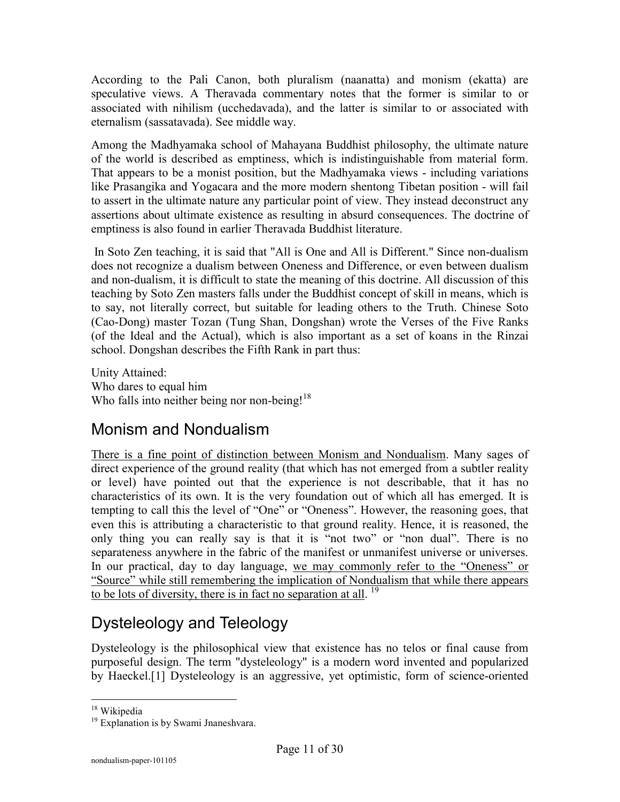According to the Pali Canon, both pluralism (naanatta) and monism (ekatta) are speculative views. A Theravada commentary notes that the former is similar to or associated with nihilism (ucchedavada), and the latter is similar to or associated with eternalism (sassatavada). See middle way.

Among the Madhyamaka school of Mahayana Buddhist philosophy, the ultimate nature of the world is described as emptiness, which is indistinguishable from material form. That appears to be a monist position, but the Madhyamaka views - including variations like Prasangika and Yogacara and the more modern shentong Tibetan position - will fail to assert in the ultimate nature any particular point of view. They instead deconstruct any assertions about ultimate existence as resulting in absurd consequences. The doctrine of emptiness is also found in earlier Theravada Buddhist literature.

 In Soto Zen teaching, it is said that "All is One and All is Different." Since non-dualism does not recognize a dualism between Oneness and Difference, or even between dualism and non-dualism, it is difficult to state the meaning of this doctrine. All discussion of this teaching by Soto Zen masters falls under the Buddhist concept of skill in means, which is to say, not literally correct, but suitable for leading others to the Truth. Chinese Soto (Cao-Dong) master Tozan (Tung Shan, Dongshan) wrote the Verses of the Five Ranks (of the Ideal and the Actual), which is also important as a set of koans in the Rinzai school. Dongshan describes the Fifth Rank in part thus:

Unity Attained: Who dares to equal him Who falls into neither being nor non-being!<sup>18</sup>

# Monism and Nondualism

There is a fine point of distinction between Monism and Nondualism. Many sages of direct experience of the ground reality (that which has not emerged from a subtler reality or level) have pointed out that the experience is not describable, that it has no characteristics of its own. It is the very foundation out of which all has emerged. It is tempting to call this the level of "One" or "Oneness". However, the reasoning goes, that even this is attributing a characteristic to that ground reality. Hence, it is reasoned, the only thing you can really say is that it is "not two" or "non dual". There is no separateness anywhere in the fabric of the manifest or unmanifest universe or universes. In our practical, day to day language, we may commonly refer to the "Oneness" or "Source" while still remembering the implication of Nondualism that while there appears to be lots of diversity, there is in fact no separation at all.<sup>19</sup>

# Dysteleology and Teleology

Dysteleology is the philosophical view that existence has no telos or final cause from purposeful design. The term "dysteleology" is a modern word invented and popularized by Haeckel.[1] Dysteleology is an aggressive, yet optimistic, form of science-oriented

 $\overline{a}$ <sup>18</sup> Wikipedia

<sup>&</sup>lt;sup>19</sup> Explanation is by Swami Jnaneshvara.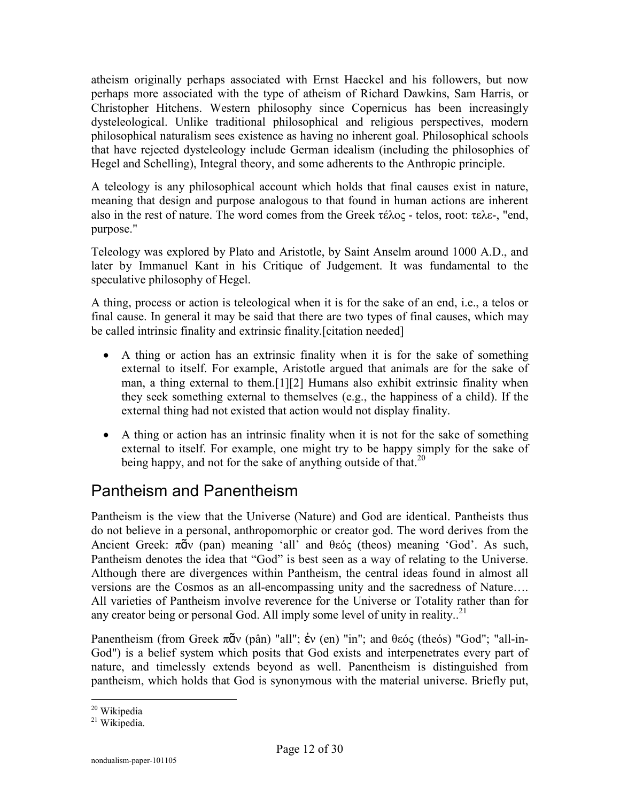atheism originally perhaps associated with Ernst Haeckel and his followers, but now perhaps more associated with the type of atheism of Richard Dawkins, Sam Harris, or Christopher Hitchens. Western philosophy since Copernicus has been increasingly dysteleological. Unlike traditional philosophical and religious perspectives, modern philosophical naturalism sees existence as having no inherent goal. Philosophical schools that have rejected dysteleology include German idealism (including the philosophies of Hegel and Schelling), Integral theory, and some adherents to the Anthropic principle.

A teleology is any philosophical account which holds that final causes exist in nature, meaning that design and purpose analogous to that found in human actions are inherent also in the rest of nature. The word comes from the Greek τέλος - telos, root: τελε-, "end, purpose."

Teleology was explored by Plato and Aristotle, by Saint Anselm around 1000 A.D., and later by Immanuel Kant in his Critique of Judgement. It was fundamental to the speculative philosophy of Hegel.

A thing, process or action is teleological when it is for the sake of an end, i.e., a telos or final cause. In general it may be said that there are two types of final causes, which may be called intrinsic finality and extrinsic finality.[citation needed]

- A thing or action has an extrinsic finality when it is for the sake of something external to itself. For example, Aristotle argued that animals are for the sake of man, a thing external to them.[1][2] Humans also exhibit extrinsic finality when they seek something external to themselves (e.g., the happiness of a child). If the external thing had not existed that action would not display finality.
- A thing or action has an intrinsic finality when it is not for the sake of something external to itself. For example, one might try to be happy simply for the sake of being happy, and not for the sake of anything outside of that.<sup>20</sup>

# Pantheism and Panentheism

Pantheism is the view that the Universe (Nature) and God are identical. Pantheists thus do not believe in a personal, anthropomorphic or creator god. The word derives from the Ancient Greek: πᾶν (pan) meaning 'all' and θεός (theos) meaning 'God'. As such, Pantheism denotes the idea that "God" is best seen as a way of relating to the Universe. Although there are divergences within Pantheism, the central ideas found in almost all versions are the Cosmos as an all-encompassing unity and the sacredness of Nature…. All varieties of Pantheism involve reverence for the Universe or Totality rather than for any creator being or personal God. All imply some level of unity in reality..<sup>21</sup>

Panentheism (from Greek πᾶν (pân) "all"; ἐν (en) "in"; and θεός (theós) "God"; "all-in-God") is a belief system which posits that God exists and interpenetrates every part of nature, and timelessly extends beyond as well. Panentheism is distinguished from pantheism, which holds that God is synonymous with the material universe. Briefly put,

 $\overline{a}$ <sup>20</sup> Wikipedia

<sup>&</sup>lt;sup>21</sup> Wikipedia.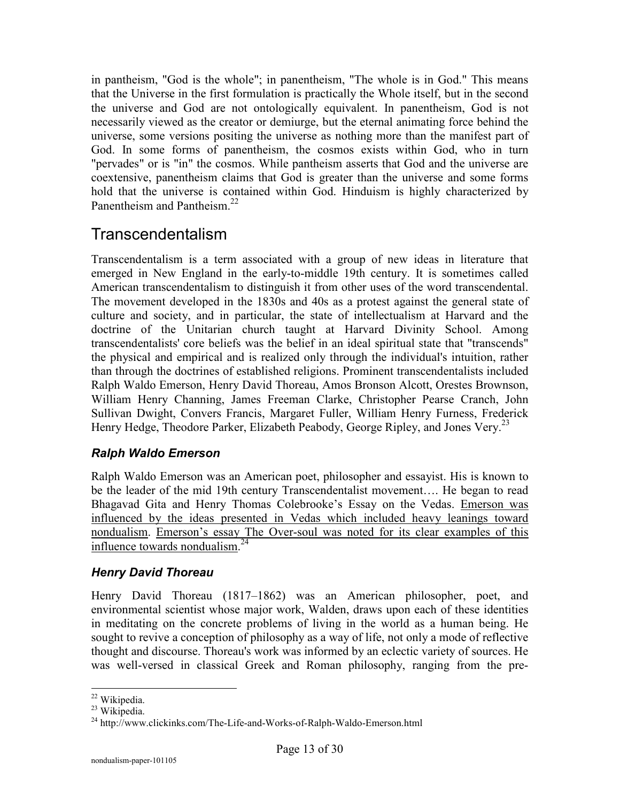in pantheism, "God is the whole"; in panentheism, "The whole is in God." This means that the Universe in the first formulation is practically the Whole itself, but in the second the universe and God are not ontologically equivalent. In panentheism, God is not necessarily viewed as the creator or demiurge, but the eternal animating force behind the universe, some versions positing the universe as nothing more than the manifest part of God. In some forms of panentheism, the cosmos exists within God, who in turn "pervades" or is "in" the cosmos. While pantheism asserts that God and the universe are coextensive, panentheism claims that God is greater than the universe and some forms hold that the universe is contained within God. Hinduism is highly characterized by Panentheism and Pantheism.<sup>22</sup>

## Transcendentalism

Transcendentalism is a term associated with a group of new ideas in literature that emerged in New England in the early-to-middle 19th century. It is sometimes called American transcendentalism to distinguish it from other uses of the word transcendental. The movement developed in the 1830s and 40s as a protest against the general state of culture and society, and in particular, the state of intellectualism at Harvard and the doctrine of the Unitarian church taught at Harvard Divinity School. Among transcendentalists' core beliefs was the belief in an ideal spiritual state that "transcends" the physical and empirical and is realized only through the individual's intuition, rather than through the doctrines of established religions. Prominent transcendentalists included Ralph Waldo Emerson, Henry David Thoreau, Amos Bronson Alcott, Orestes Brownson, William Henry Channing, James Freeman Clarke, Christopher Pearse Cranch, John Sullivan Dwight, Convers Francis, Margaret Fuller, William Henry Furness, Frederick Henry Hedge, Theodore Parker, Elizabeth Peabody, George Ripley, and Jones Very.<sup>23</sup>

#### *Ralph Waldo Emerson*

Ralph Waldo Emerson was an American poet, philosopher and essayist. His is known to be the leader of the mid 19th century Transcendentalist movement…. He began to read Bhagavad Gita and Henry Thomas Colebrooke's Essay on the Vedas. Emerson was influenced by the ideas presented in Vedas which included heavy leanings toward nondualism. Emerson's essay The Over-soul was noted for its clear examples of this influence towards nondualism.<sup>24</sup>

#### *Henry David Thoreau*

Henry David Thoreau (1817–1862) was an American philosopher, poet, and environmental scientist whose major work, Walden, draws upon each of these identities in meditating on the concrete problems of living in the world as a human being. He sought to revive a conception of philosophy as a way of life, not only a mode of reflective thought and discourse. Thoreau's work was informed by an eclectic variety of sources. He was well-versed in classical Greek and Roman philosophy, ranging from the pre-

 $\overline{a}$ <sup>22</sup> Wikipedia.

<sup>&</sup>lt;sup>23</sup> Wikipedia.

<sup>&</sup>lt;sup>24</sup> http://www.clickinks.com/The-Life-and-Works-of-Ralph-Waldo-Emerson.html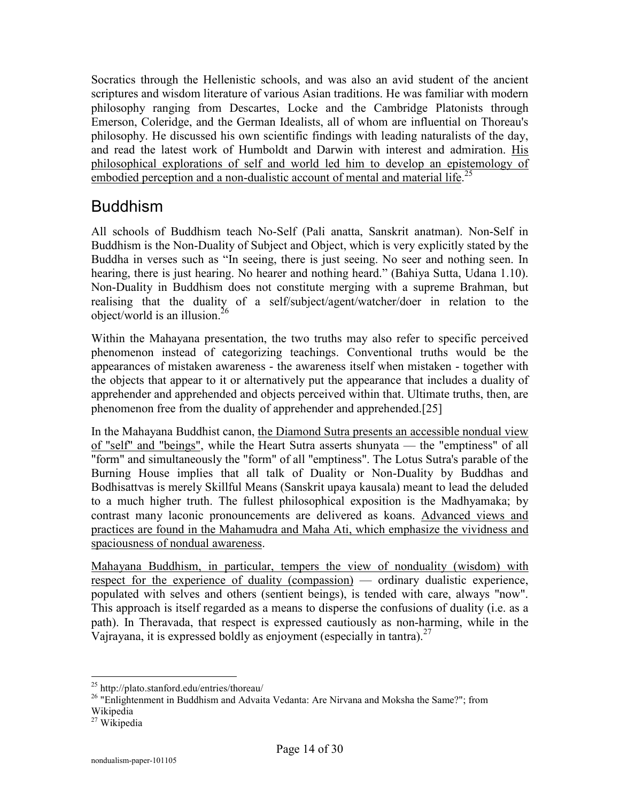Socratics through the Hellenistic schools, and was also an avid student of the ancient scriptures and wisdom literature of various Asian traditions. He was familiar with modern philosophy ranging from Descartes, Locke and the Cambridge Platonists through Emerson, Coleridge, and the German Idealists, all of whom are influential on Thoreau's philosophy. He discussed his own scientific findings with leading naturalists of the day, and read the latest work of Humboldt and Darwin with interest and admiration. His philosophical explorations of self and world led him to develop an epistemology of embodied perception and a non-dualistic account of mental and material life.<sup>25</sup>

## Buddhism

All schools of Buddhism teach No-Self (Pali anatta, Sanskrit anatman). Non-Self in Buddhism is the Non-Duality of Subject and Object, which is very explicitly stated by the Buddha in verses such as "In seeing, there is just seeing. No seer and nothing seen. In hearing, there is just hearing. No hearer and nothing heard." (Bahiya Sutta, Udana 1.10). Non-Duality in Buddhism does not constitute merging with a supreme Brahman, but realising that the duality of a self/subject/agent/watcher/doer in relation to the object/world is an illusion. $^{26}$ 

Within the Mahayana presentation, the two truths may also refer to specific perceived phenomenon instead of categorizing teachings. Conventional truths would be the appearances of mistaken awareness - the awareness itself when mistaken - together with the objects that appear to it or alternatively put the appearance that includes a duality of apprehender and apprehended and objects perceived within that. Ultimate truths, then, are phenomenon free from the duality of apprehender and apprehended.[25]

In the Mahayana Buddhist canon, the Diamond Sutra presents an accessible nondual view of "self" and "beings", while the Heart Sutra asserts shunyata — the "emptiness" of all "form" and simultaneously the "form" of all "emptiness". The Lotus Sutra's parable of the Burning House implies that all talk of Duality or Non-Duality by Buddhas and Bodhisattvas is merely Skillful Means (Sanskrit upaya kausala) meant to lead the deluded to a much higher truth. The fullest philosophical exposition is the Madhyamaka; by contrast many laconic pronouncements are delivered as koans. Advanced views and practices are found in the Mahamudra and Maha Ati, which emphasize the vividness and spaciousness of nondual awareness.

Mahayana Buddhism, in particular, tempers the view of nonduality (wisdom) with respect for the experience of duality (compassion) — ordinary dualistic experience, populated with selves and others (sentient beings), is tended with care, always "now". This approach is itself regarded as a means to disperse the confusions of duality (i.e. as a path). In Theravada, that respect is expressed cautiously as non-harming, while in the Vajrayana, it is expressed boldly as enjoyment (especially in tantra).  $27$ 

 <sup>25</sup> http://plato.stanford.edu/entries/thoreau/

<sup>&</sup>lt;sup>26</sup> "Enlightenment in Buddhism and Advaita Vedanta: Are Nirvana and Moksha the Same?"; from

Wikipedia

 $27$  Wikipedia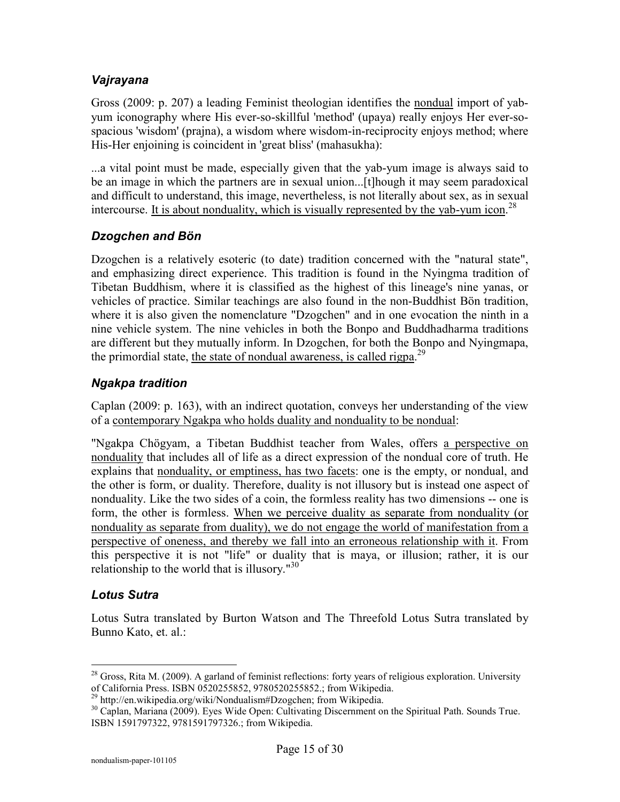#### *Vajrayana*

Gross (2009: p. 207) a leading Feminist theologian identifies the nondual import of yabyum iconography where His ever-so-skillful 'method' (upaya) really enjoys Her ever-sospacious 'wisdom' (prajna), a wisdom where wisdom-in-reciprocity enjoys method; where His-Her enjoining is coincident in 'great bliss' (mahasukha):

...a vital point must be made, especially given that the yab-yum image is always said to be an image in which the partners are in sexual union...[t]hough it may seem paradoxical and difficult to understand, this image, nevertheless, is not literally about sex, as in sexual intercourse. It is about nonduality, which is visually represented by the yab-yum icon.<sup>28</sup>

#### *Dzogchen and Bön*

Dzogchen is a relatively esoteric (to date) tradition concerned with the "natural state", and emphasizing direct experience. This tradition is found in the Nyingma tradition of Tibetan Buddhism, where it is classified as the highest of this lineage's nine yanas, or vehicles of practice. Similar teachings are also found in the non-Buddhist Bön tradition, where it is also given the nomenclature "Dzogchen" and in one evocation the ninth in a nine vehicle system. The nine vehicles in both the Bonpo and Buddhadharma traditions are different but they mutually inform. In Dzogchen, for both the Bonpo and Nyingmapa, the primordial state, the state of nondual awareness, is called rigpa.<sup>29</sup>

#### *Ngakpa tradition*

Caplan (2009: p. 163), with an indirect quotation, conveys her understanding of the view of a contemporary Ngakpa who holds duality and nonduality to be nondual:

"Ngakpa Chögyam, a Tibetan Buddhist teacher from Wales, offers a perspective on nonduality that includes all of life as a direct expression of the nondual core of truth. He explains that nonduality, or emptiness, has two facets: one is the empty, or nondual, and the other is form, or duality. Therefore, duality is not illusory but is instead one aspect of nonduality. Like the two sides of a coin, the formless reality has two dimensions -- one is form, the other is formless. When we perceive duality as separate from nonduality (or nonduality as separate from duality), we do not engage the world of manifestation from a perspective of oneness, and thereby we fall into an erroneous relationship with it. From this perspective it is not "life" or duality that is maya, or illusion; rather, it is our relationship to the world that is illusory."<sup>30</sup>

#### *Lotus Sutra*

 $\overline{a}$ 

Lotus Sutra translated by Burton Watson and The Threefold Lotus Sutra translated by Bunno Kato, et. al.:

 $28$  Gross, Rita M. (2009). A garland of feminist reflections: forty years of religious exploration. University of California Press. ISBN 0520255852, 9780520255852.; from Wikipedia.

<sup>29</sup> http://en.wikipedia.org/wiki/Nondualism#Dzogchen; from Wikipedia.

<sup>&</sup>lt;sup>30</sup> Caplan, Mariana (2009). Eyes Wide Open: Cultivating Discernment on the Spiritual Path. Sounds True. ISBN 1591797322, 9781591797326.; from Wikipedia.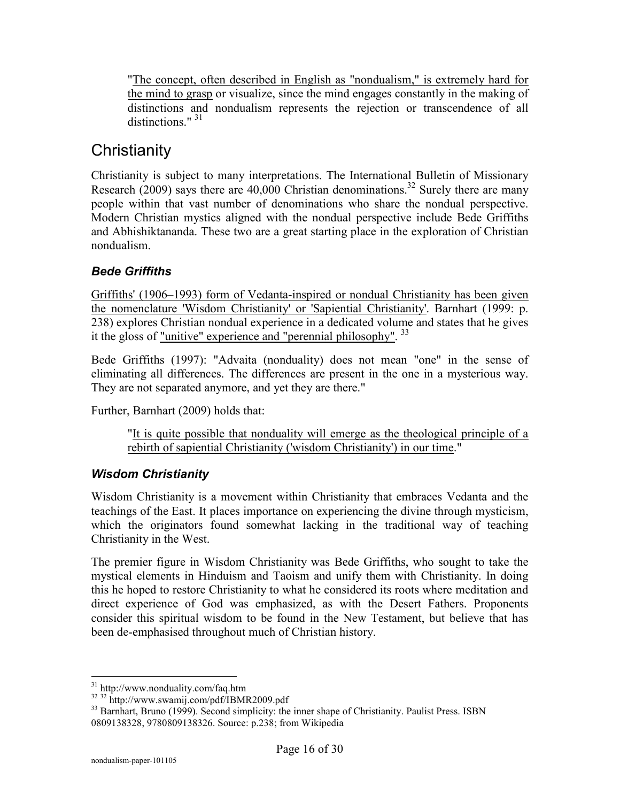"The concept, often described in English as "nondualism," is extremely hard for the mind to grasp or visualize, since the mind engages constantly in the making of distinctions and nondualism represents the rejection or transcendence of all distinctions." <sup>31</sup>

# **Christianity**

Christianity is subject to many interpretations. The International Bulletin of Missionary Research (2009) says there are 40,000 Christian denominations.<sup>32</sup> Surely there are many people within that vast number of denominations who share the nondual perspective. Modern Christian mystics aligned with the nondual perspective include Bede Griffiths and Abhishiktananda. These two are a great starting place in the exploration of Christian nondualism.

### *Bede Griffiths*

Griffiths' (1906–1993) form of Vedanta-inspired or nondual Christianity has been given the nomenclature 'Wisdom Christianity' or 'Sapiential Christianity'. Barnhart (1999: p. 238) explores Christian nondual experience in a dedicated volume and states that he gives it the gloss of <u>"unitive" experience and "perennial philosophy".</u> <sup>33</sup>

Bede Griffiths (1997): "Advaita (nonduality) does not mean "one" in the sense of eliminating all differences. The differences are present in the one in a mysterious way. They are not separated anymore, and yet they are there."

Further, Barnhart (2009) holds that:

"It is quite possible that nonduality will emerge as the theological principle of a rebirth of sapiential Christianity ('wisdom Christianity') in our time."

#### *Wisdom Christianity*

Wisdom Christianity is a movement within Christianity that embraces Vedanta and the teachings of the East. It places importance on experiencing the divine through mysticism, which the originators found somewhat lacking in the traditional way of teaching Christianity in the West.

The premier figure in Wisdom Christianity was Bede Griffiths, who sought to take the mystical elements in Hinduism and Taoism and unify them with Christianity. In doing this he hoped to restore Christianity to what he considered its roots where meditation and direct experience of God was emphasized, as with the Desert Fathers. Proponents consider this spiritual wisdom to be found in the New Testament, but believe that has been de-emphasised throughout much of Christian history.

<sup>&</sup>lt;sup>31</sup> http://www.nonduality.com/faq.htm

<sup>&</sup>lt;sup>32 32</sup> http://www.swamij.com/pdf/IBMR2009.pdf

<sup>&</sup>lt;sup>33</sup> Barnhart, Bruno (1999). Second simplicity: the inner shape of Christianity. Paulist Press. ISBN 0809138328, 9780809138326. Source: p.238; from Wikipedia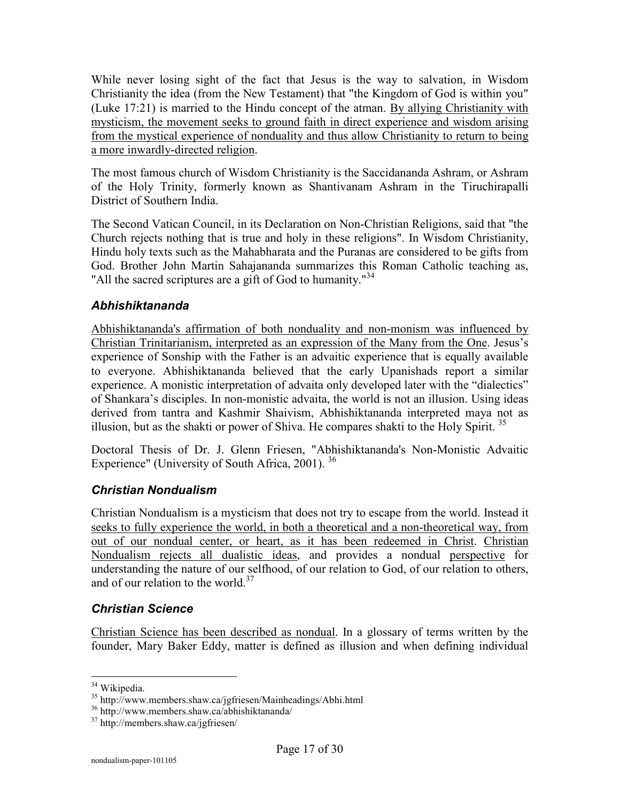While never losing sight of the fact that Jesus is the way to salvation, in Wisdom Christianity the idea (from the New Testament) that "the Kingdom of God is within you" (Luke 17:21) is married to the Hindu concept of the atman. By allying Christianity with mysticism, the movement seeks to ground faith in direct experience and wisdom arising from the mystical experience of nonduality and thus allow Christianity to return to being a more inwardly-directed religion.

The most famous church of Wisdom Christianity is the Saccidananda Ashram, or Ashram of the Holy Trinity, formerly known as Shantivanam Ashram in the Tiruchirapalli District of Southern India.

The Second Vatican Council, in its Declaration on Non-Christian Religions, said that "the Church rejects nothing that is true and holy in these religions". In Wisdom Christianity, Hindu holy texts such as the Mahabharata and the Puranas are considered to be gifts from God. Brother John Martin Sahajananda summarizes this Roman Catholic teaching as, "All the sacred scriptures are a gift of God to humanity."<sup>34</sup>

#### *Abhishiktananda*

Abhishiktananda's affirmation of both nonduality and non-monism was influenced by Christian Trinitarianism, interpreted as an expression of the Many from the One. Jesus's experience of Sonship with the Father is an advaitic experience that is equally available to everyone. Abhishiktananda believed that the early Upanishads report a similar experience. A monistic interpretation of advaita only developed later with the "dialectics" of Shankara's disciples. In non-monistic advaita, the world is not an illusion. Using ideas derived from tantra and Kashmir Shaivism, Abhishiktananda interpreted maya not as illusion, but as the shakti or power of Shiva. He compares shakti to the Holy Spirit.<sup>35</sup>

Doctoral Thesis of Dr. J. Glenn Friesen, "Abhishiktananda's Non-Monistic Advaitic Experience" (University of South Africa, 2001).  $36$ 

#### *Christian Nondualism*

Christian Nondualism is a mysticism that does not try to escape from the world. Instead it seeks to fully experience the world, in both a theoretical and a non-theoretical way, from out of our nondual center, or heart, as it has been redeemed in Christ. Christian Nondualism rejects all dualistic ideas, and provides a nondual perspective for understanding the nature of our selfhood, of our relation to God, of our relation to others, and of our relation to the world.<sup>37</sup>

#### *Christian Science*

Christian Science has been described as nondual. In a glossary of terms written by the founder, Mary Baker Eddy, matter is defined as illusion and when defining individual

 <sup>34</sup> Wikipedia.

<sup>35</sup> http://www.members.shaw.ca/jgfriesen/Mainheadings/Abhi.html

<sup>36</sup> http://www.members.shaw.ca/abhishiktananda/

<sup>37</sup> http://members.shaw.ca/jgfriesen/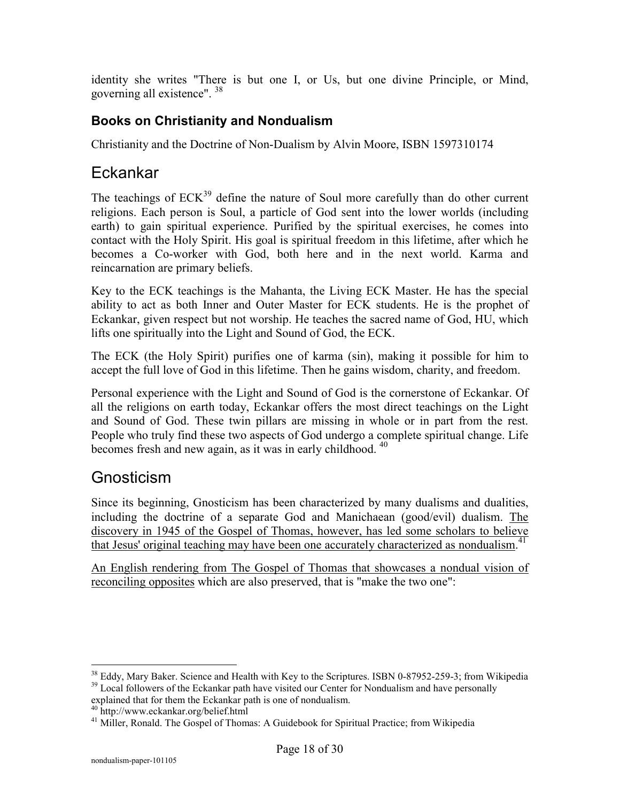identity she writes "There is but one I, or Us, but one divine Principle, or Mind, governing all existence". <sup>38</sup>

### **Books on Christianity and Nondualism**

Christianity and the Doctrine of Non-Dualism by Alvin Moore, ISBN 1597310174

## Eckankar

The teachings of  $ECK<sup>39</sup>$  define the nature of Soul more carefully than do other current religions. Each person is Soul, a particle of God sent into the lower worlds (including earth) to gain spiritual experience. Purified by the spiritual exercises, he comes into contact with the Holy Spirit. His goal is spiritual freedom in this lifetime, after which he becomes a Co-worker with God, both here and in the next world. Karma and reincarnation are primary beliefs.

Key to the ECK teachings is the Mahanta, the Living ECK Master. He has the special ability to act as both Inner and Outer Master for ECK students. He is the prophet of Eckankar, given respect but not worship. He teaches the sacred name of God, HU, which lifts one spiritually into the Light and Sound of God, the ECK.

The ECK (the Holy Spirit) purifies one of karma (sin), making it possible for him to accept the full love of God in this lifetime. Then he gains wisdom, charity, and freedom.

Personal experience with the Light and Sound of God is the cornerstone of Eckankar. Of all the religions on earth today, Eckankar offers the most direct teachings on the Light and Sound of God. These twin pillars are missing in whole or in part from the rest. People who truly find these two aspects of God undergo a complete spiritual change. Life becomes fresh and new again, as it was in early childhood.  $40$ 

## Gnosticism

Since its beginning, Gnosticism has been characterized by many dualisms and dualities, including the doctrine of a separate God and Manichaean (good/evil) dualism. The discovery in 1945 of the Gospel of Thomas, however, has led some scholars to believe that Jesus' original teaching may have been one accurately characterized as nondualism.<sup>41</sup>

An English rendering from The Gospel of Thomas that showcases a nondual vision of reconciling opposites which are also preserved, that is "make the two one":

<sup>&</sup>lt;sup>38</sup> Eddy, Mary Baker. Science and Health with Key to the Scriptures. ISBN 0-87952-259-3; from Wikipedia  $39$  Local followers of the Eckankar path have visited our Center for Nondualism and have personally

explained that for them the Eckankar path is one of nondualism.

<sup>40</sup> http://www.eckankar.org/belief.html

<sup>&</sup>lt;sup>41</sup> Miller, Ronald. The Gospel of Thomas: A Guidebook for Spiritual Practice; from Wikipedia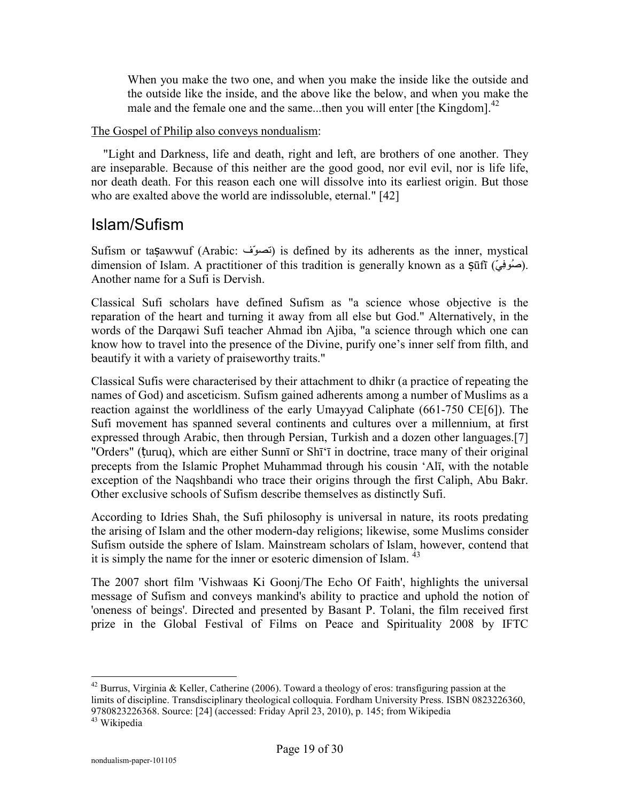When you make the two one, and when you make the inside like the outside and the outside like the inside, and the above like the below, and when you make the male and the female one and the same...then you will enter [the Kingdom].<sup>42</sup>

#### The Gospel of Philip also conveys nondualism:

 "Light and Darkness, life and death, right and left, are brothers of one another. They are inseparable. Because of this neither are the good good, nor evil evil, nor is life life, nor death death. For this reason each one will dissolve into its earliest origin. But those who are exalted above the world are indissoluble, eternal." [42]

### Islam/Sufism

Sufism or taṣawwuf (Arabic: نَصومٌف) is defined by its adherents as the inner, mystical dimension of Islam. A practitioner of this tradition is generally known as a  $\overline{\text{snfi}}$  (صُوفِی). Another name for a Sufi is Dervish.

Classical Sufi scholars have defined Sufism as "a science whose objective is the reparation of the heart and turning it away from all else but God." Alternatively, in the words of the Darqawi Sufi teacher Ahmad ibn Ajiba, "a science through which one can know how to travel into the presence of the Divine, purify one's inner self from filth, and beautify it with a variety of praiseworthy traits."

Classical Sufis were characterised by their attachment to dhikr (a practice of repeating the names of God) and asceticism. Sufism gained adherents among a number of Muslims as a reaction against the worldliness of the early Umayyad Caliphate (661-750 CE[6]). The Sufi movement has spanned several continents and cultures over a millennium, at first expressed through Arabic, then through Persian, Turkish and a dozen other languages.[7] "Orders" (ṭuruq), which are either Sunnī or Shī'ī in doctrine, trace many of their original precepts from the Islamic Prophet Muhammad through his cousin 'Alī, with the notable exception of the Naqshbandi who trace their origins through the first Caliph, Abu Bakr. Other exclusive schools of Sufism describe themselves as distinctly Sufi.

According to Idries Shah, the Sufi philosophy is universal in nature, its roots predating the arising of Islam and the other modern-day religions; likewise, some Muslims consider Sufism outside the sphere of Islam. Mainstream scholars of Islam, however, contend that it is simply the name for the inner or esoteric dimension of Islam.  $43$ 

The 2007 short film 'Vishwaas Ki Goonj/The Echo Of Faith', highlights the universal message of Sufism and conveys mankind's ability to practice and uphold the notion of 'oneness of beings'. Directed and presented by Basant P. Tolani, the film received first prize in the Global Festival of Films on Peace and Spirituality 2008 by IFTC

 $42$  Burrus, Virginia & Keller, Catherine (2006). Toward a theology of eros: transfiguring passion at the limits of discipline. Transdisciplinary theological colloquia. Fordham University Press. ISBN 0823226360, 9780823226368. Source: [24] (accessed: Friday April 23, 2010), p. 145; from Wikipedia

<sup>43</sup> Wikipedia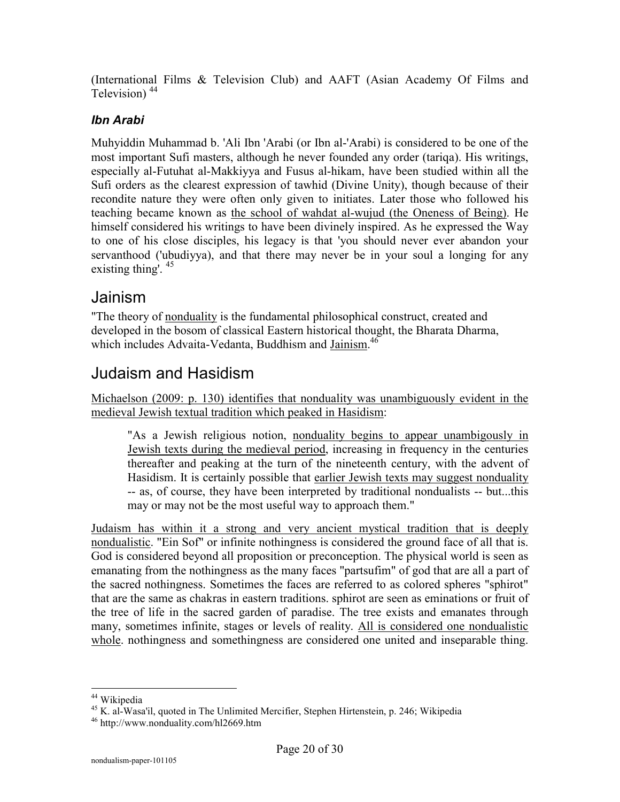(International Films & Television Club) and AAFT (Asian Academy Of Films and Television)<sup>44</sup>

#### *Ibn Arabi*

Muhyiddin Muhammad b. 'Ali Ibn 'Arabi (or Ibn al-'Arabi) is considered to be one of the most important Sufi masters, although he never founded any order (tariqa). His writings, especially al-Futuhat al-Makkiyya and Fusus al-hikam, have been studied within all the Sufi orders as the clearest expression of tawhid (Divine Unity), though because of their recondite nature they were often only given to initiates. Later those who followed his teaching became known as the school of wahdat al-wujud (the Oneness of Being). He himself considered his writings to have been divinely inspired. As he expressed the Way to one of his close disciples, his legacy is that 'you should never ever abandon your servanthood ('ubudiyya), and that there may never be in your soul a longing for any existing thing'. <sup>45</sup>

### Jainism

"The theory of nonduality is the fundamental philosophical construct, created and developed in the bosom of classical Eastern historical thought, the Bharata Dharma, which includes Advaita-Vedanta, Buddhism and Jainism.<sup>46</sup>

### Judaism and Hasidism

Michaelson (2009: p. 130) identifies that nonduality was unambiguously evident in the medieval Jewish textual tradition which peaked in Hasidism:

"As a Jewish religious notion, nonduality begins to appear unambigously in Jewish texts during the medieval period, increasing in frequency in the centuries thereafter and peaking at the turn of the nineteenth century, with the advent of Hasidism. It is certainly possible that earlier Jewish texts may suggest nonduality -- as, of course, they have been interpreted by traditional nondualists -- but...this may or may not be the most useful way to approach them."

Judaism has within it a strong and very ancient mystical tradition that is deeply nondualistic. "Ein Sof" or infinite nothingness is considered the ground face of all that is. God is considered beyond all proposition or preconception. The physical world is seen as emanating from the nothingness as the many faces "partsufim" of god that are all a part of the sacred nothingness. Sometimes the faces are referred to as colored spheres "sphirot" that are the same as chakras in eastern traditions. sphirot are seen as eminations or fruit of the tree of life in the sacred garden of paradise. The tree exists and emanates through many, sometimes infinite, stages or levels of reality. All is considered one nondualistic whole, nothingness and somethingness are considered one united and inseparable thing.

<sup>44</sup> Wikipedia

<sup>45</sup> K. al-Wasa'il, quoted in The Unlimited Mercifier, Stephen Hirtenstein, p. 246; Wikipedia

<sup>46</sup> http://www.nonduality.com/hl2669.htm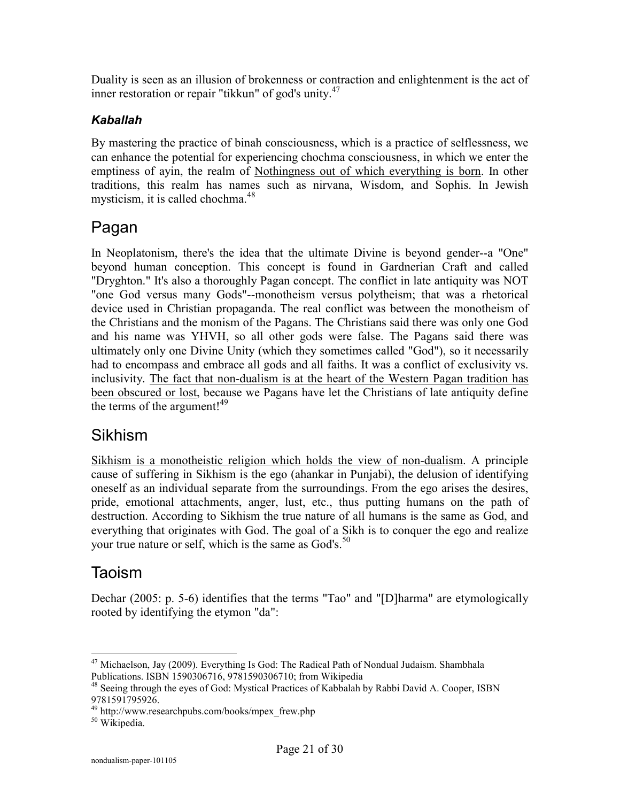Duality is seen as an illusion of brokenness or contraction and enlightenment is the act of inner restoration or repair "tikkun" of god's unity.<sup>47</sup>

#### *Kaballah*

By mastering the practice of binah consciousness, which is a practice of selflessness, we can enhance the potential for experiencing chochma consciousness, in which we enter the emptiness of ayin, the realm of Nothingness out of which everything is born. In other traditions, this realm has names such as nirvana, Wisdom, and Sophis. In Jewish mysticism, it is called chochma. $48$ 

# Pagan

In Neoplatonism, there's the idea that the ultimate Divine is beyond gender--a "One" beyond human conception. This concept is found in Gardnerian Craft and called "Dryghton." It's also a thoroughly Pagan concept. The conflict in late antiquity was NOT "one God versus many Gods"--monotheism versus polytheism; that was a rhetorical device used in Christian propaganda. The real conflict was between the monotheism of the Christians and the monism of the Pagans. The Christians said there was only one God and his name was YHVH, so all other gods were false. The Pagans said there was ultimately only one Divine Unity (which they sometimes called "God"), so it necessarily had to encompass and embrace all gods and all faiths. It was a conflict of exclusivity vs. inclusivity. The fact that non-dualism is at the heart of the Western Pagan tradition has been obscured or lost, because we Pagans have let the Christians of late antiquity define the terms of the argument!<sup>49</sup>

# Sikhism

Sikhism is a monotheistic religion which holds the view of non-dualism. A principle cause of suffering in Sikhism is the ego (ahankar in Punjabi), the delusion of identifying oneself as an individual separate from the surroundings. From the ego arises the desires, pride, emotional attachments, anger, lust, etc., thus putting humans on the path of destruction. According to Sikhism the true nature of all humans is the same as God, and everything that originates with God. The goal of a Sikh is to conquer the ego and realize your true nature or self, which is the same as God's.<sup>50</sup>

# Taoism

Dechar (2005: p. 5-6) identifies that the terms "Tao" and "[D]harma" are etymologically rooted by identifying the etymon "da":

 $\overline{a}$  $47$  Michaelson, Jay (2009). Everything Is God: The Radical Path of Nondual Judaism. Shambhala Publications. ISBN 1590306716, 9781590306710; from Wikipedia

<sup>48</sup> Seeing through the eyes of God: Mystical Practices of Kabbalah by Rabbi David A. Cooper, ISBN 9781591795926.

<sup>&</sup>lt;sup>49</sup> http://www.researchpubs.com/books/mpex\_frew.php

<sup>50</sup> Wikipedia.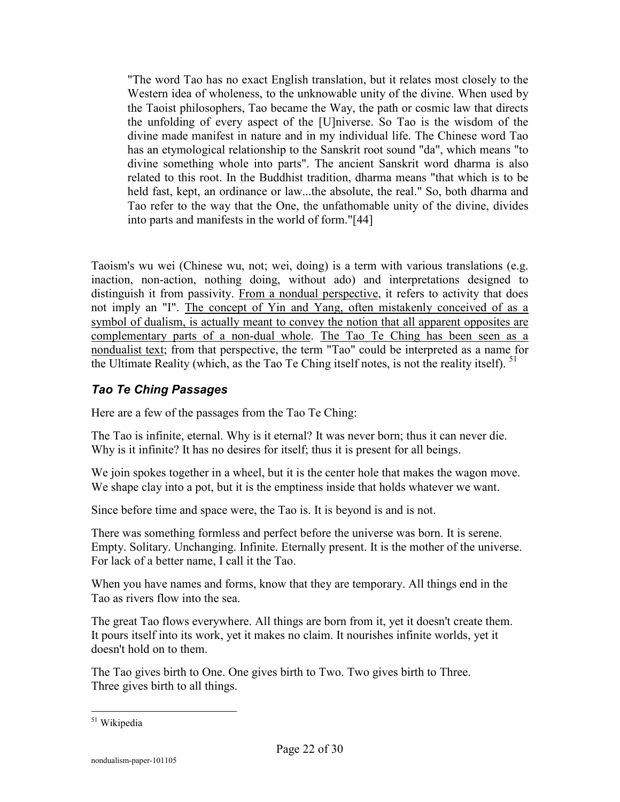"The word Tao has no exact English translation, but it relates most closely to the Western idea of wholeness, to the unknowable unity of the divine. When used by the Taoist philosophers, Tao became the Way, the path or cosmic law that directs the unfolding of every aspect of the [U]niverse. So Tao is the wisdom of the divine made manifest in nature and in my individual life. The Chinese word Tao has an etymological relationship to the Sanskrit root sound "da", which means "to divine something whole into parts". The ancient Sanskrit word dharma is also related to this root. In the Buddhist tradition, dharma means "that which is to be held fast, kept, an ordinance or law...the absolute, the real." So, both dharma and Tao refer to the way that the One, the unfathomable unity of the divine, divides into parts and manifests in the world of form."[44]

Taoism's wu wei (Chinese wu, not; wei, doing) is a term with various translations (e.g. inaction, non-action, nothing doing, without ado) and interpretations designed to distinguish it from passivity. From a nondual perspective, it refers to activity that does not imply an "I". The concept of Yin and Yang, often mistakenly conceived of as a symbol of dualism, is actually meant to convey the notion that all apparent opposites are complementary parts of a non-dual whole. The Tao Te Ching has been seen as a nondualist text; from that perspective, the term "Tao" could be interpreted as a name for the Ultimate Reality (which, as the Tao Te Ching itself notes, is not the reality itself). <sup>51</sup>

#### *Tao Te Ching Passages*

Here are a few of the passages from the Tao Te Ching:

The Tao is infinite, eternal. Why is it eternal? It was never born; thus it can never die. Why is it infinite? It has no desires for itself; thus it is present for all beings.

We join spokes together in a wheel, but it is the center hole that makes the wagon move. We shape clay into a pot, but it is the emptiness inside that holds whatever we want.

Since before time and space were, the Tao is. It is beyond is and is not.

There was something formless and perfect before the universe was born. It is serene. Empty. Solitary. Unchanging. Infinite. Eternally present. It is the mother of the universe. For lack of a better name, I call it the Tao.

When you have names and forms, know that they are temporary. All things end in the Tao as rivers flow into the sea.

The great Tao flows everywhere. All things are born from it, yet it doesn't create them. It pours itself into its work, yet it makes no claim. It nourishes infinite worlds, yet it doesn't hold on to them.

The Tao gives birth to One. One gives birth to Two. Two gives birth to Three. Three gives birth to all things.

 $\overline{a}$ <sup>51</sup> Wikipedia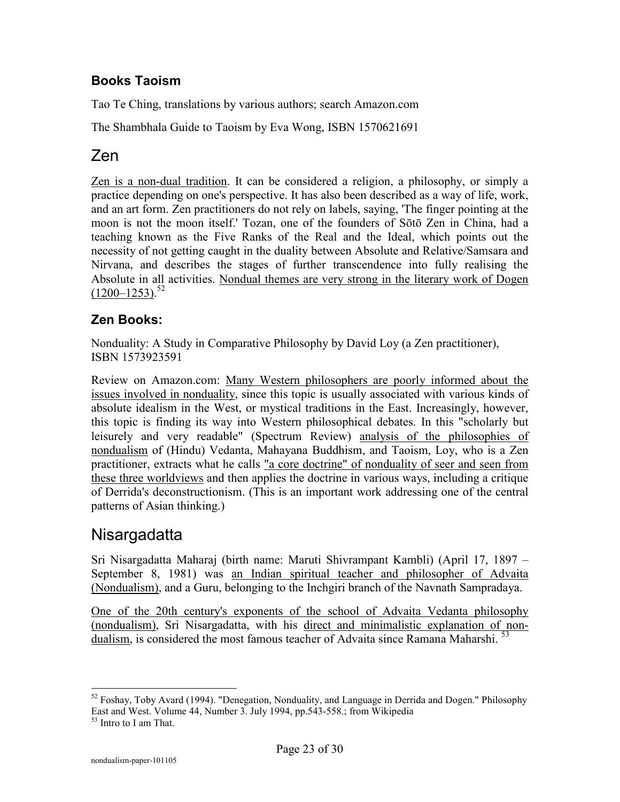### **Books Taoism**

Tao Te Ching, translations by various authors; search Amazon.com

The Shambhala Guide to Taoism by Eva Wong, ISBN 1570621691

# Zen

Zen is a non-dual tradition. It can be considered a religion, a philosophy, or simply a practice depending on one's perspective. It has also been described as a way of life, work, and an art form. Zen practitioners do not rely on labels, saying, 'The finger pointing at the moon is not the moon itself.' Tozan, one of the founders of Sōtō Zen in China, had a teaching known as the Five Ranks of the Real and the Ideal, which points out the necessity of not getting caught in the duality between Absolute and Relative/Samsara and Nirvana, and describes the stages of further transcendence into fully realising the Absolute in all activities. Nondual themes are very strong in the literary work of Dogen  $(1200 - 1253)^{52}$ 

### **Zen Books:**

Nonduality: A Study in Comparative Philosophy by David Loy (a Zen practitioner), ISBN 1573923591

Review on Amazon.com: Many Western philosophers are poorly informed about the issues involved in nonduality, since this topic is usually associated with various kinds of absolute idealism in the West, or mystical traditions in the East. Increasingly, however, this topic is finding its way into Western philosophical debates. In this "scholarly but leisurely and very readable" (Spectrum Review) analysis of the philosophies of nondualism of (Hindu) Vedanta, Mahayana Buddhism, and Taoism, Loy, who is a Zen practitioner, extracts what he calls "a core doctrine" of nonduality of seer and seen from these three worldviews and then applies the doctrine in various ways, including a critique of Derrida's deconstructionism. (This is an important work addressing one of the central patterns of Asian thinking.)

### Nisargadatta

Sri Nisargadatta Maharaj (birth name: Maruti Shivrampant Kambli) (April 17, 1897 – September 8, 1981) was an Indian spiritual teacher and philosopher of Advaita (Nondualism), and a Guru, belonging to the Inchgiri branch of the Navnath Sampradaya.

One of the 20th century's exponents of the school of Advaita Vedanta philosophy (nondualism), Sri Nisargadatta, with his direct and minimalistic explanation of nondualism, is considered the most famous teacher of Advaita since Ramana Maharshi.<sup>53</sup>

 $52$  Foshay, Toby Avard (1994). "Denegation, Nonduality, and Language in Derrida and Dogen." Philosophy East and West. Volume 44, Number 3. July 1994, pp.543-558.; from Wikipedia

<sup>53</sup> Intro to I am That.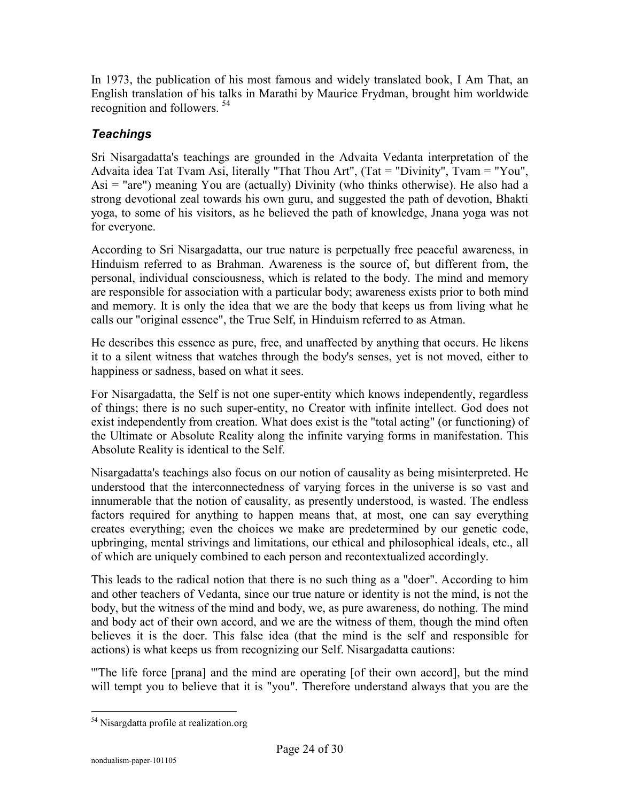In 1973, the publication of his most famous and widely translated book, I Am That, an English translation of his talks in Marathi by Maurice Frydman, brought him worldwide recognition and followers. <sup>54</sup>

### *Teachings*

Sri Nisargadatta's teachings are grounded in the Advaita Vedanta interpretation of the Advaita idea Tat Tvam Asi, literally "That Thou Art", (Tat = "Divinity", Tvam = "You", Asi = "are") meaning You are (actually) Divinity (who thinks otherwise). He also had a strong devotional zeal towards his own guru, and suggested the path of devotion, Bhakti yoga, to some of his visitors, as he believed the path of knowledge, Jnana yoga was not for everyone.

According to Sri Nisargadatta, our true nature is perpetually free peaceful awareness, in Hinduism referred to as Brahman. Awareness is the source of, but different from, the personal, individual consciousness, which is related to the body. The mind and memory are responsible for association with a particular body; awareness exists prior to both mind and memory. It is only the idea that we are the body that keeps us from living what he calls our "original essence", the True Self, in Hinduism referred to as Atman.

He describes this essence as pure, free, and unaffected by anything that occurs. He likens it to a silent witness that watches through the body's senses, yet is not moved, either to happiness or sadness, based on what it sees.

For Nisargadatta, the Self is not one super-entity which knows independently, regardless of things; there is no such super-entity, no Creator with infinite intellect. God does not exist independently from creation. What does exist is the "total acting" (or functioning) of the Ultimate or Absolute Reality along the infinite varying forms in manifestation. This Absolute Reality is identical to the Self.

Nisargadatta's teachings also focus on our notion of causality as being misinterpreted. He understood that the interconnectedness of varying forces in the universe is so vast and innumerable that the notion of causality, as presently understood, is wasted. The endless factors required for anything to happen means that, at most, one can say everything creates everything; even the choices we make are predetermined by our genetic code, upbringing, mental strivings and limitations, our ethical and philosophical ideals, etc., all of which are uniquely combined to each person and recontextualized accordingly.

This leads to the radical notion that there is no such thing as a "doer". According to him and other teachers of Vedanta, since our true nature or identity is not the mind, is not the body, but the witness of the mind and body, we, as pure awareness, do nothing. The mind and body act of their own accord, and we are the witness of them, though the mind often believes it is the doer. This false idea (that the mind is the self and responsible for actions) is what keeps us from recognizing our Self. Nisargadatta cautions:

'"The life force [prana] and the mind are operating [of their own accord], but the mind will tempt you to believe that it is "you". Therefore understand always that you are the

<sup>&</sup>lt;sup>54</sup> Nisargdatta profile at realization.org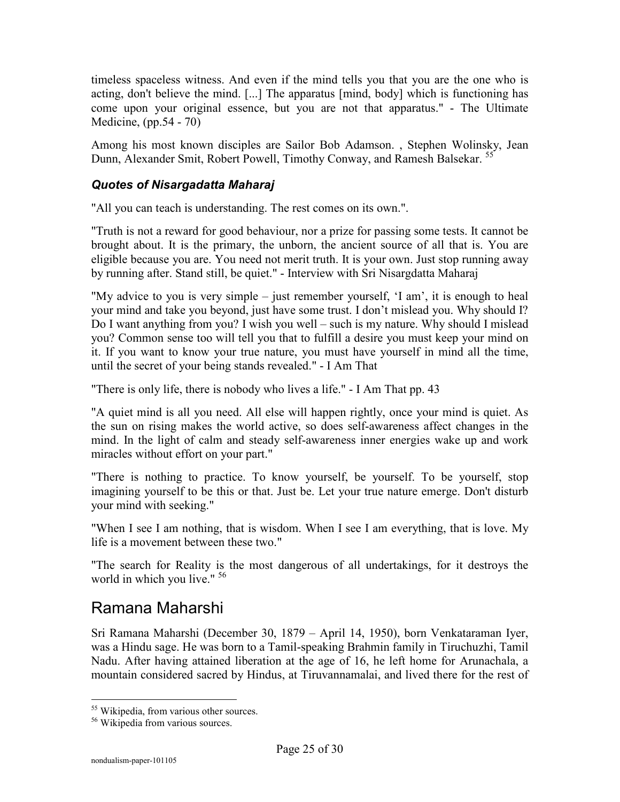timeless spaceless witness. And even if the mind tells you that you are the one who is acting, don't believe the mind. [...] The apparatus [mind, body] which is functioning has come upon your original essence, but you are not that apparatus." - The Ultimate Medicine, (pp.54 - 70)

Among his most known disciples are Sailor Bob Adamson. , Stephen Wolinsky, Jean Dunn, Alexander Smit, Robert Powell, Timothy Conway, and Ramesh Balsekar.<sup>55</sup>

#### *Quotes of Nisargadatta Maharaj*

"All you can teach is understanding. The rest comes on its own.".

"Truth is not a reward for good behaviour, nor a prize for passing some tests. It cannot be brought about. It is the primary, the unborn, the ancient source of all that is. You are eligible because you are. You need not merit truth. It is your own. Just stop running away by running after. Stand still, be quiet." - Interview with Sri Nisargdatta Maharaj

"My advice to you is very simple – just remember yourself, 'I am', it is enough to heal your mind and take you beyond, just have some trust. I don't mislead you. Why should I? Do I want anything from you? I wish you well – such is my nature. Why should I mislead you? Common sense too will tell you that to fulfill a desire you must keep your mind on it. If you want to know your true nature, you must have yourself in mind all the time, until the secret of your being stands revealed." - I Am That

"There is only life, there is nobody who lives a life." - I Am That pp. 43

"A quiet mind is all you need. All else will happen rightly, once your mind is quiet. As the sun on rising makes the world active, so does self-awareness affect changes in the mind. In the light of calm and steady self-awareness inner energies wake up and work miracles without effort on your part."

"There is nothing to practice. To know yourself, be yourself. To be yourself, stop imagining yourself to be this or that. Just be. Let your true nature emerge. Don't disturb your mind with seeking."

"When I see I am nothing, that is wisdom. When I see I am everything, that is love. My life is a movement between these two."

"The search for Reality is the most dangerous of all undertakings, for it destroys the world in which you live." <sup>56</sup>

## Ramana Maharshi

Sri Ramana Maharshi (December 30, 1879 – April 14, 1950), born Venkataraman Iyer, was a Hindu sage. He was born to a Tamil-speaking Brahmin family in Tiruchuzhi, Tamil Nadu. After having attained liberation at the age of 16, he left home for Arunachala, a mountain considered sacred by Hindus, at Tiruvannamalai, and lived there for the rest of

<sup>&</sup>lt;sup>55</sup> Wikipedia, from various other sources.

<sup>56</sup> Wikipedia from various sources.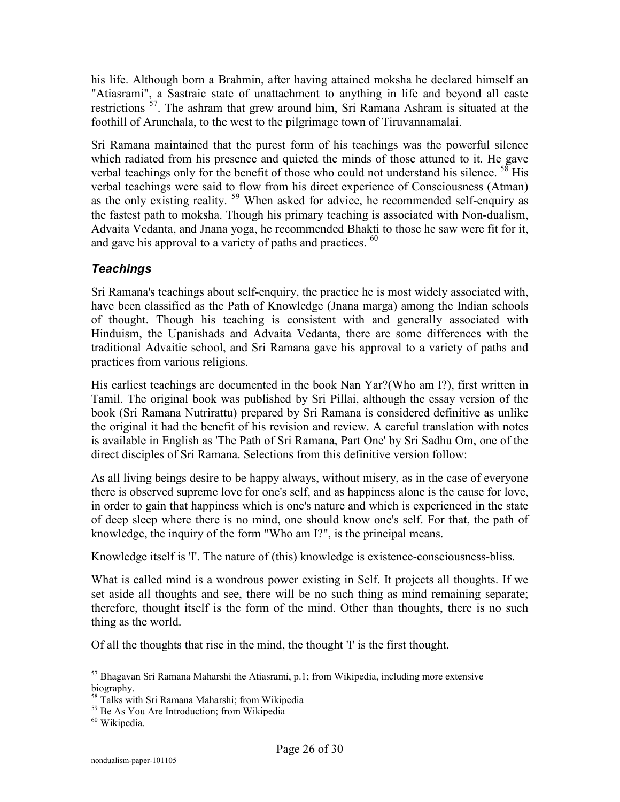his life. Although born a Brahmin, after having attained moksha he declared himself an "Atiasrami", a Sastraic state of unattachment to anything in life and beyond all caste restrictions <sup>57</sup>. The ashram that grew around him, Sri Ramana Ashram is situated at the foothill of Arunchala, to the west to the pilgrimage town of Tiruvannamalai.

Sri Ramana maintained that the purest form of his teachings was the powerful silence which radiated from his presence and quieted the minds of those attuned to it. He gave verbal teachings only for the benefit of those who could not understand his silence. <sup>58</sup> His verbal teachings were said to flow from his direct experience of Consciousness (Atman) as the only existing reality. <sup>59</sup> When asked for advice, he recommended self-enquiry as the fastest path to moksha. Though his primary teaching is associated with Non-dualism, Advaita Vedanta, and Jnana yoga, he recommended Bhakti to those he saw were fit for it, and gave his approval to a variety of paths and practices. <sup>60</sup>

#### *Teachings*

Sri Ramana's teachings about self-enquiry, the practice he is most widely associated with, have been classified as the Path of Knowledge (Jnana marga) among the Indian schools of thought. Though his teaching is consistent with and generally associated with Hinduism, the Upanishads and Advaita Vedanta, there are some differences with the traditional Advaitic school, and Sri Ramana gave his approval to a variety of paths and practices from various religions.

His earliest teachings are documented in the book Nan Yar?(Who am I?), first written in Tamil. The original book was published by Sri Pillai, although the essay version of the book (Sri Ramana Nutrirattu) prepared by Sri Ramana is considered definitive as unlike the original it had the benefit of his revision and review. A careful translation with notes is available in English as 'The Path of Sri Ramana, Part One' by Sri Sadhu Om, one of the direct disciples of Sri Ramana. Selections from this definitive version follow:

As all living beings desire to be happy always, without misery, as in the case of everyone there is observed supreme love for one's self, and as happiness alone is the cause for love, in order to gain that happiness which is one's nature and which is experienced in the state of deep sleep where there is no mind, one should know one's self. For that, the path of knowledge, the inquiry of the form "Who am I?", is the principal means.

Knowledge itself is 'I'. The nature of (this) knowledge is existence-consciousness-bliss.

What is called mind is a wondrous power existing in Self. It projects all thoughts. If we set aside all thoughts and see, there will be no such thing as mind remaining separate; therefore, thought itself is the form of the mind. Other than thoughts, there is no such thing as the world.

Of all the thoughts that rise in the mind, the thought 'I' is the first thought.

 $\overline{a}$  $57$  Bhagavan Sri Ramana Maharshi the Atiasrami, p.1; from Wikipedia, including more extensive biography.

<sup>58</sup> Talks with Sri Ramana Maharshi; from Wikipedia

<sup>&</sup>lt;sup>59</sup> Be As You Are Introduction: from Wikipedia

<sup>60</sup> Wikipedia.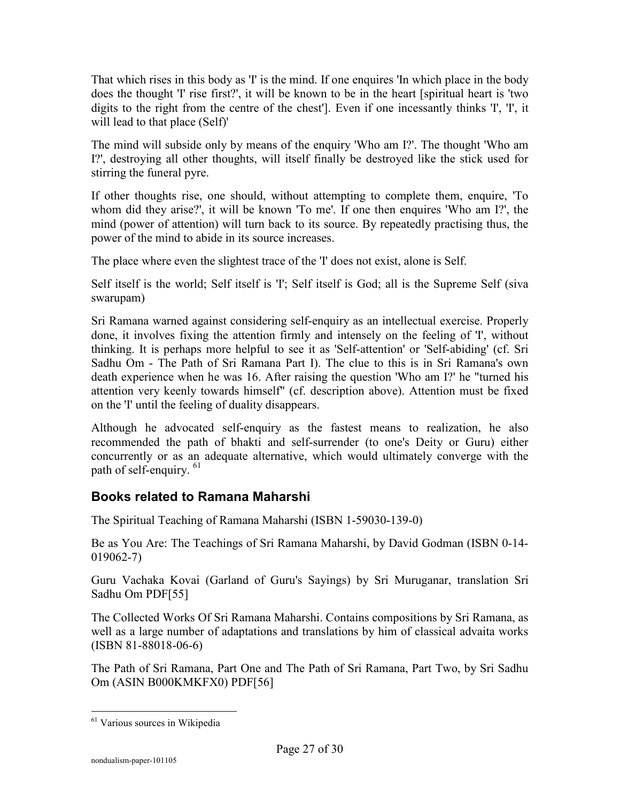That which rises in this body as 'I' is the mind. If one enquires 'In which place in the body does the thought 'I' rise first?', it will be known to be in the heart [spiritual heart is 'two digits to the right from the centre of the chest']. Even if one incessantly thinks 'I', 'I', it will lead to that place (Self)'

The mind will subside only by means of the enquiry 'Who am I?'. The thought 'Who am I?', destroying all other thoughts, will itself finally be destroyed like the stick used for stirring the funeral pyre.

If other thoughts rise, one should, without attempting to complete them, enquire, 'To whom did they arise?', it will be known 'To me'. If one then enquires 'Who am I?', the mind (power of attention) will turn back to its source. By repeatedly practising thus, the power of the mind to abide in its source increases.

The place where even the slightest trace of the 'I' does not exist, alone is Self.

Self itself is the world; Self itself is 'I'; Self itself is God; all is the Supreme Self (siva swarupam)

Sri Ramana warned against considering self-enquiry as an intellectual exercise. Properly done, it involves fixing the attention firmly and intensely on the feeling of 'I', without thinking. It is perhaps more helpful to see it as 'Self-attention' or 'Self-abiding' (cf. Sri Sadhu Om - The Path of Sri Ramana Part I). The clue to this is in Sri Ramana's own death experience when he was 16. After raising the question 'Who am I?' he "turned his attention very keenly towards himself" (cf. description above). Attention must be fixed on the 'I' until the feeling of duality disappears.

Although he advocated self-enquiry as the fastest means to realization, he also recommended the path of bhakti and self-surrender (to one's Deity or Guru) either concurrently or as an adequate alternative, which would ultimately converge with the path of self-enquiry. <sup>61</sup>

### **Books related to Ramana Maharshi**

The Spiritual Teaching of Ramana Maharshi (ISBN 1-59030-139-0)

Be as You Are: The Teachings of Sri Ramana Maharshi, by David Godman (ISBN 0-14- 019062-7)

Guru Vachaka Kovai (Garland of Guru's Sayings) by Sri Muruganar, translation Sri Sadhu Om PDF[55]

The Collected Works Of Sri Ramana Maharshi. Contains compositions by Sri Ramana, as well as a large number of adaptations and translations by him of classical advaita works (ISBN 81-88018-06-6)

The Path of Sri Ramana, Part One and The Path of Sri Ramana, Part Two, by Sri Sadhu Om (ASIN B000KMKFX0) PDF[56]

<sup>&</sup>lt;sup>61</sup> Various sources in Wikipedia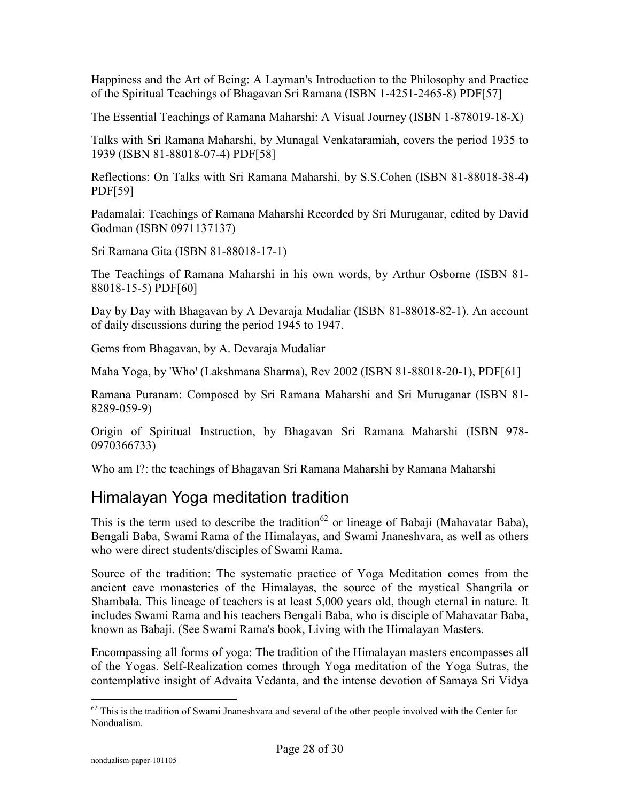Happiness and the Art of Being: A Layman's Introduction to the Philosophy and Practice of the Spiritual Teachings of Bhagavan Sri Ramana (ISBN 1-4251-2465-8) PDF[57]

The Essential Teachings of Ramana Maharshi: A Visual Journey (ISBN 1-878019-18-X)

Talks with Sri Ramana Maharshi, by Munagal Venkataramiah, covers the period 1935 to 1939 (ISBN 81-88018-07-4) PDF[58]

Reflections: On Talks with Sri Ramana Maharshi, by S.S.Cohen (ISBN 81-88018-38-4) PDF[59]

Padamalai: Teachings of Ramana Maharshi Recorded by Sri Muruganar, edited by David Godman (ISBN 0971137137)

Sri Ramana Gita (ISBN 81-88018-17-1)

The Teachings of Ramana Maharshi in his own words, by Arthur Osborne (ISBN 81- 88018-15-5) PDF[60]

Day by Day with Bhagavan by A Devaraja Mudaliar (ISBN 81-88018-82-1). An account of daily discussions during the period 1945 to 1947.

Gems from Bhagavan, by A. Devaraja Mudaliar

Maha Yoga, by 'Who' (Lakshmana Sharma), Rev 2002 (ISBN 81-88018-20-1), PDF[61]

Ramana Puranam: Composed by Sri Ramana Maharshi and Sri Muruganar (ISBN 81- 8289-059-9)

Origin of Spiritual Instruction, by Bhagavan Sri Ramana Maharshi (ISBN 978- 0970366733)

Who am I?: the teachings of Bhagavan Sri Ramana Maharshi by Ramana Maharshi

# Himalayan Yoga meditation tradition

This is the term used to describe the tradition<sup>62</sup> or lineage of Babaji (Mahavatar Baba), Bengali Baba, Swami Rama of the Himalayas, and Swami Jnaneshvara, as well as others who were direct students/disciples of Swami Rama.

Source of the tradition: The systematic practice of Yoga Meditation comes from the ancient cave monasteries of the Himalayas, the source of the mystical Shangrila or Shambala. This lineage of teachers is at least 5,000 years old, though eternal in nature. It includes Swami Rama and his teachers Bengali Baba, who is disciple of Mahavatar Baba, known as Babaji. (See Swami Rama's book, Living with the Himalayan Masters.

Encompassing all forms of yoga: The tradition of the Himalayan masters encompasses all of the Yogas. Self-Realization comes through Yoga meditation of the Yoga Sutras, the contemplative insight of Advaita Vedanta, and the intense devotion of Samaya Sri Vidya

 $\overline{a}$  $62$  This is the tradition of Swami Jnaneshvara and several of the other people involved with the Center for Nondualism.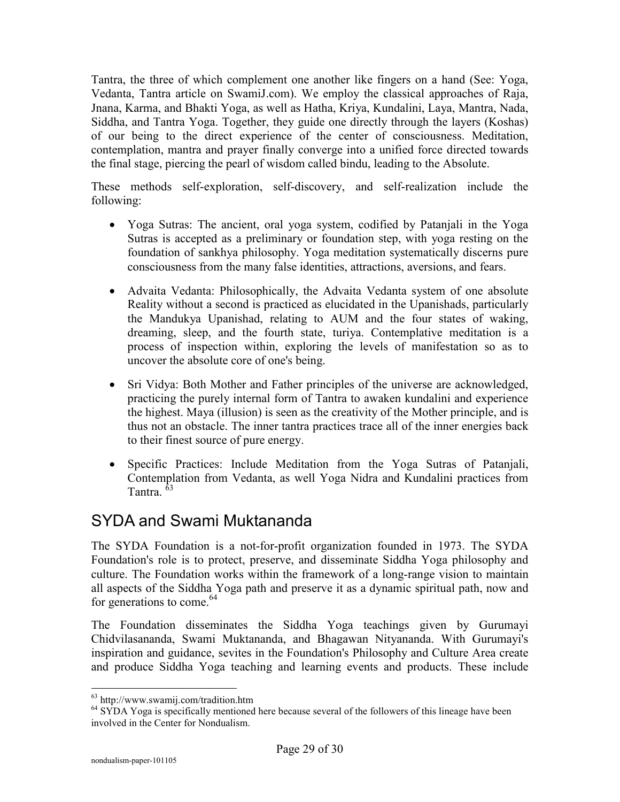Tantra, the three of which complement one another like fingers on a hand (See: Yoga, Vedanta, Tantra article on SwamiJ.com). We employ the classical approaches of Raja, Jnana, Karma, and Bhakti Yoga, as well as Hatha, Kriya, Kundalini, Laya, Mantra, Nada, Siddha, and Tantra Yoga. Together, they guide one directly through the layers (Koshas) of our being to the direct experience of the center of consciousness. Meditation, contemplation, mantra and prayer finally converge into a unified force directed towards the final stage, piercing the pearl of wisdom called bindu, leading to the Absolute.

These methods self-exploration, self-discovery, and self-realization include the following:

- Yoga Sutras: The ancient, oral yoga system, codified by Patanjali in the Yoga Sutras is accepted as a preliminary or foundation step, with yoga resting on the foundation of sankhya philosophy. Yoga meditation systematically discerns pure consciousness from the many false identities, attractions, aversions, and fears.
- Advaita Vedanta: Philosophically, the Advaita Vedanta system of one absolute Reality without a second is practiced as elucidated in the Upanishads, particularly the Mandukya Upanishad, relating to AUM and the four states of waking, dreaming, sleep, and the fourth state, turiya. Contemplative meditation is a process of inspection within, exploring the levels of manifestation so as to uncover the absolute core of one's being.
- Sri Vidya: Both Mother and Father principles of the universe are acknowledged, practicing the purely internal form of Tantra to awaken kundalini and experience the highest. Maya (illusion) is seen as the creativity of the Mother principle, and is thus not an obstacle. The inner tantra practices trace all of the inner energies back to their finest source of pure energy.
- Specific Practices: Include Meditation from the Yoga Sutras of Patanjali, Contemplation from Vedanta, as well Yoga Nidra and Kundalini practices from Tantra.<sup>63</sup>

## SYDA and Swami Muktananda

The SYDA Foundation is a not-for-profit organization founded in 1973. The SYDA Foundation's role is to protect, preserve, and disseminate Siddha Yoga philosophy and culture. The Foundation works within the framework of a long-range vision to maintain all aspects of the Siddha Yoga path and preserve it as a dynamic spiritual path, now and for generations to come. $64$ 

The Foundation disseminates the Siddha Yoga teachings given by Gurumayi Chidvilasananda, Swami Muktananda, and Bhagawan Nityananda. With Gurumayi's inspiration and guidance, sevites in the Foundation's Philosophy and Culture Area create and produce Siddha Yoga teaching and learning events and products. These include

<sup>63</sup> http://www.swamij.com/tradition.htm

<sup>&</sup>lt;sup>64</sup> SYDA Yoga is specifically mentioned here because several of the followers of this lineage have been involved in the Center for Nondualism.